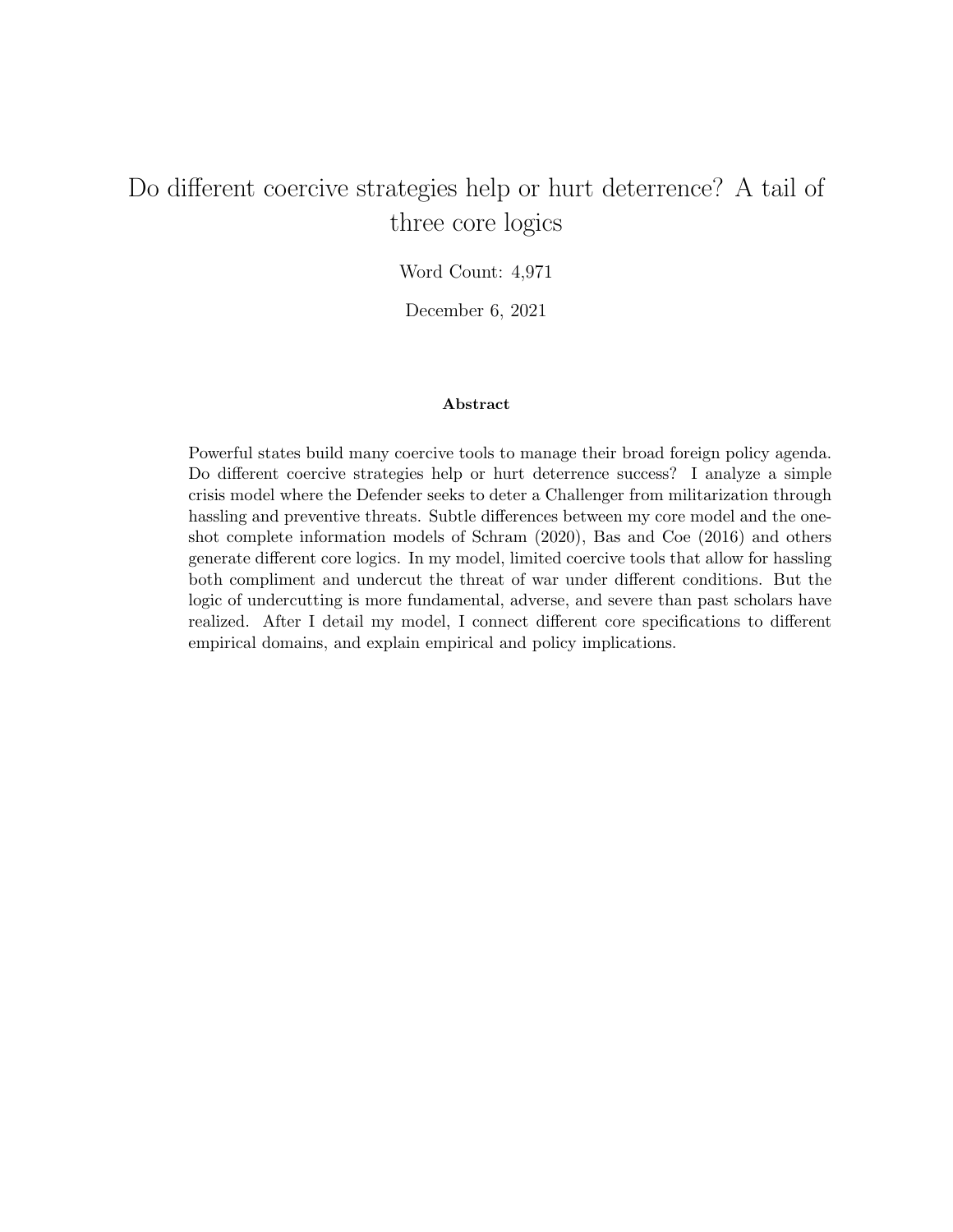# Do different coercive strategies help or hurt deterrence? A tail of three core logics

Word Count: 4,971

December 6, 2021

#### Abstract

Powerful states build many coercive tools to manage their broad foreign policy agenda. Do different coercive strategies help or hurt deterrence success? I analyze a simple crisis model where the Defender seeks to deter a Challenger from militarization through hassling and preventive threats. Subtle differences between my core model and the oneshot complete information models of Schram (2020), Bas and Coe (2016) and others generate different core logics. In my model, limited coercive tools that allow for hassling both compliment and undercut the threat of war under different conditions. But the logic of undercutting is more fundamental, adverse, and severe than past scholars have realized. After I detail my model, I connect different core specifications to different empirical domains, and explain empirical and policy implications.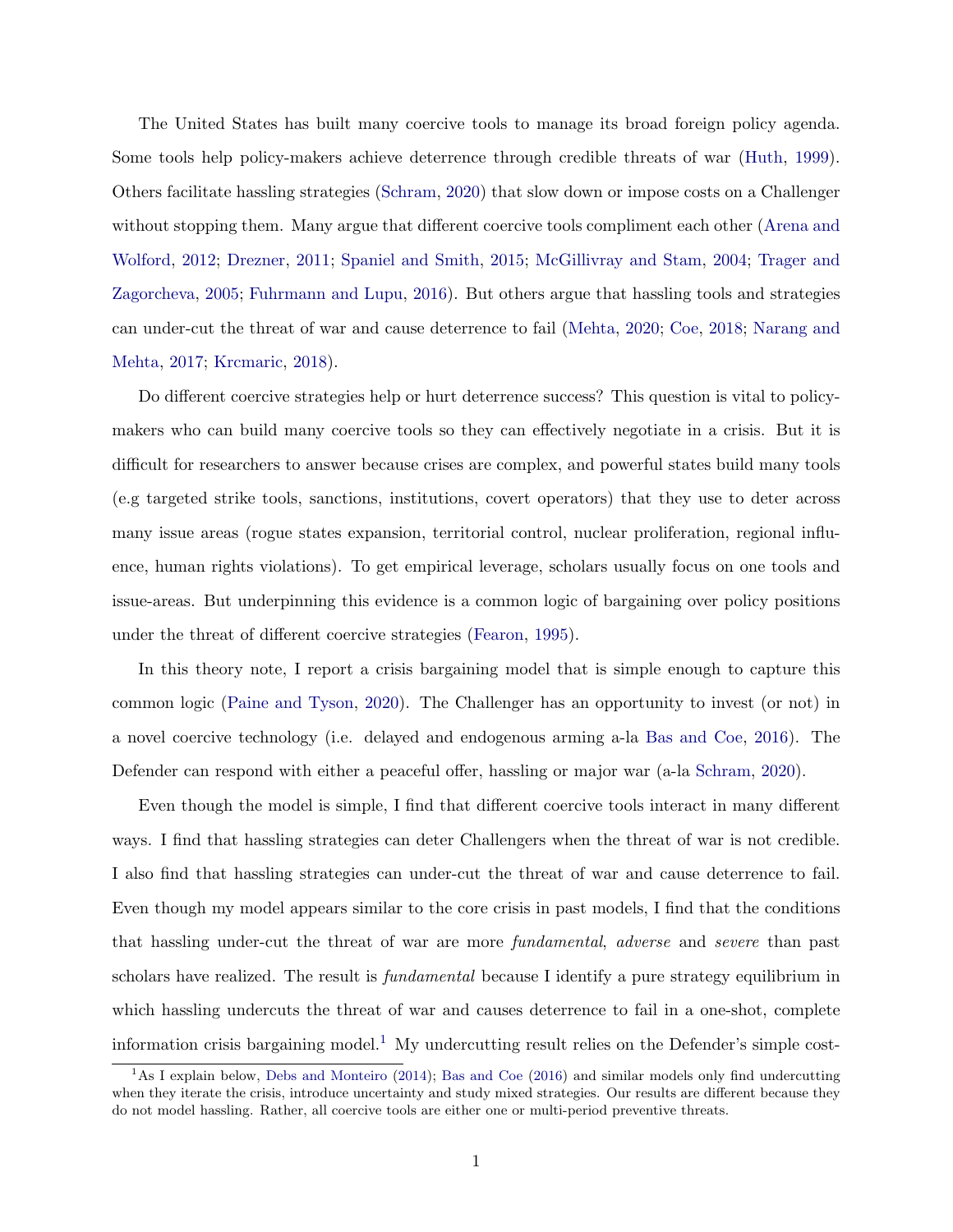The United States has built many coercive tools to manage its broad foreign policy agenda. Some tools help policy-makers achieve deterrence through credible threats of war [\(Huth,](#page-13-0) [1999\)](#page-13-0). Others facilitate hassling strategies [\(Schram,](#page-14-0) [2020\)](#page-14-0) that slow down or impose costs on a Challenger without stopping them. Many argue that different coercive tools compliment each other [\(Arena and](#page-13-1) [Wolford,](#page-13-1) [2012;](#page-13-1) [Drezner,](#page-13-2) [2011;](#page-13-2) [Spaniel and Smith,](#page-14-1) [2015;](#page-14-1) [McGillivray and Stam,](#page-13-3) [2004;](#page-13-3) [Trager and](#page-14-2) [Zagorcheva,](#page-14-2) [2005;](#page-14-2) [Fuhrmann and Lupu,](#page-13-4) [2016\)](#page-13-4). But others argue that hassling tools and strategies can under-cut the threat of war and cause deterrence to fail [\(Mehta,](#page-13-5) [2020;](#page-13-5) [Coe,](#page-13-6) [2018;](#page-13-6) [Narang and](#page-14-3) [Mehta,](#page-14-3) [2017;](#page-14-3) [Krcmaric,](#page-13-7) [2018\)](#page-13-7).

Do different coercive strategies help or hurt deterrence success? This question is vital to policymakers who can build many coercive tools so they can effectively negotiate in a crisis. But it is difficult for researchers to answer because crises are complex, and powerful states build many tools (e.g targeted strike tools, sanctions, institutions, covert operators) that they use to deter across many issue areas (rogue states expansion, territorial control, nuclear proliferation, regional influence, human rights violations). To get empirical leverage, scholars usually focus on one tools and issue-areas. But underpinning this evidence is a common logic of bargaining over policy positions under the threat of different coercive strategies [\(Fearon,](#page-13-8) [1995\)](#page-13-8).

In this theory note, I report a crisis bargaining model that is simple enough to capture this common logic [\(Paine and Tyson,](#page-14-4) [2020\)](#page-14-4). The Challenger has an opportunity to invest (or not) in a novel coercive technology (i.e. delayed and endogenous arming a-la [Bas and Coe,](#page-13-9) [2016\)](#page-13-9). The Defender can respond with either a peaceful offer, hassling or major war (a-la [Schram,](#page-14-0) [2020\)](#page-14-0).

Even though the model is simple, I find that different coercive tools interact in many different ways. I find that hassling strategies can deter Challengers when the threat of war is not credible. I also find that hassling strategies can under-cut the threat of war and cause deterrence to fail. Even though my model appears similar to the core crisis in past models, I find that the conditions that hassling under-cut the threat of war are more fundamental, adverse and severe than past scholars have realized. The result is *fundamental* because I identify a pure strategy equilibrium in which hassling undercuts the threat of war and causes deterrence to fail in a one-shot, complete information crisis bargaining model.<sup>[1](#page-1-0)</sup> My undercutting result relies on the Defender's simple cost-

<span id="page-1-0"></span><sup>&</sup>lt;sup>1</sup>As I explain below, [Debs and Monteiro](#page-13-10) [\(2014\)](#page-13-10); [Bas and Coe](#page-13-9) [\(2016\)](#page-13-9) and similar models only find undercutting when they iterate the crisis, introduce uncertainty and study mixed strategies. Our results are different because they do not model hassling. Rather, all coercive tools are either one or multi-period preventive threats.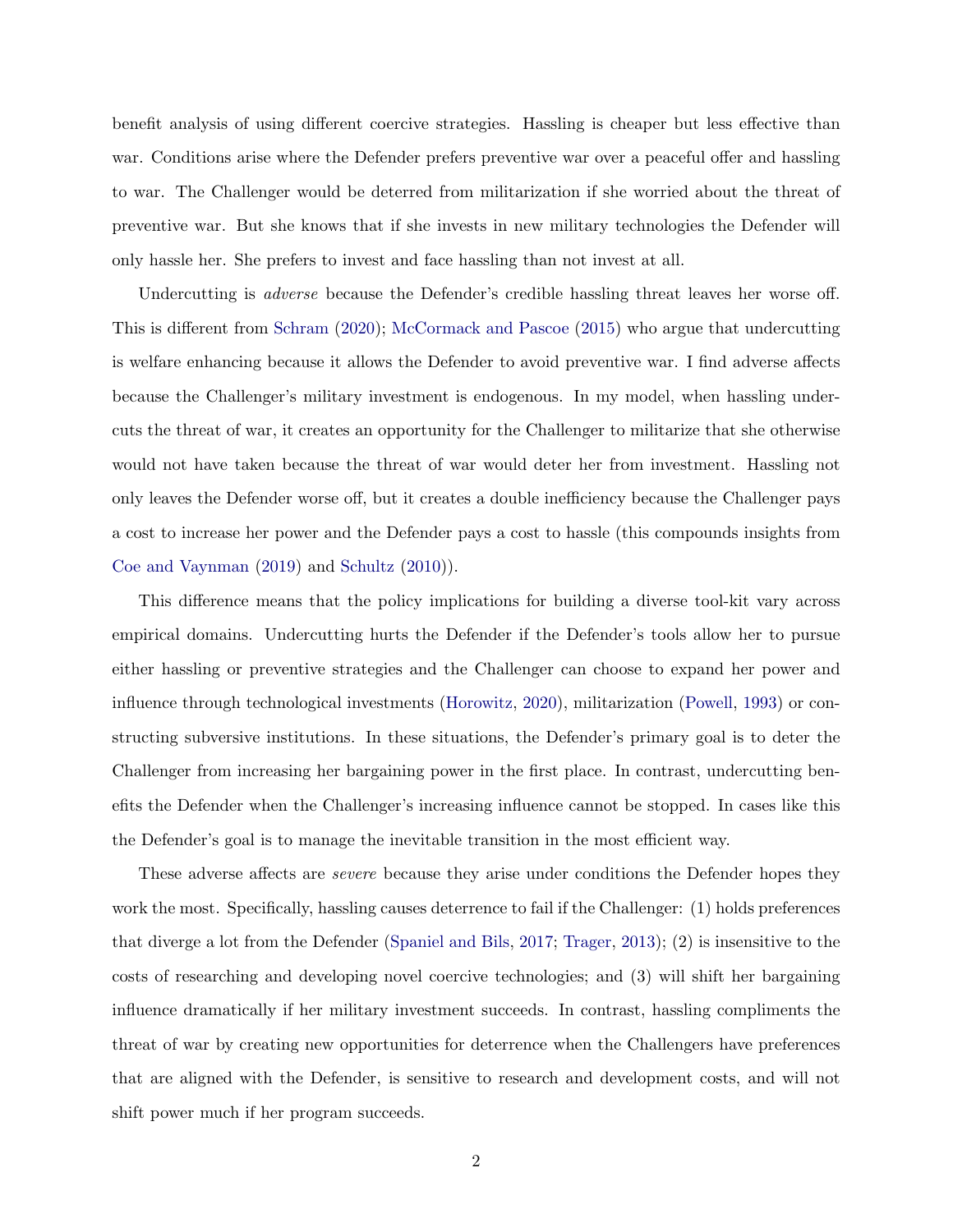benefit analysis of using different coercive strategies. Hassling is cheaper but less effective than war. Conditions arise where the Defender prefers preventive war over a peaceful offer and hassling to war. The Challenger would be deterred from militarization if she worried about the threat of preventive war. But she knows that if she invests in new military technologies the Defender will only hassle her. She prefers to invest and face hassling than not invest at all.

Undercutting is *adverse* because the Defender's credible hassling threat leaves her worse off. This is different from [Schram](#page-14-0) [\(2020\)](#page-14-0); [McCormack and Pascoe](#page-13-11) [\(2015\)](#page-13-11) who argue that undercutting is welfare enhancing because it allows the Defender to avoid preventive war. I find adverse affects because the Challenger's military investment is endogenous. In my model, when hassling undercuts the threat of war, it creates an opportunity for the Challenger to militarize that she otherwise would not have taken because the threat of war would deter her from investment. Hassling not only leaves the Defender worse off, but it creates a double inefficiency because the Challenger pays a cost to increase her power and the Defender pays a cost to hassle (this compounds insights from [Coe and Vaynman](#page-13-12) [\(2019\)](#page-13-12) and [Schultz](#page-14-5) [\(2010\)](#page-14-5)).

This difference means that the policy implications for building a diverse tool-kit vary across empirical domains. Undercutting hurts the Defender if the Defender's tools allow her to pursue either hassling or preventive strategies and the Challenger can choose to expand her power and influence through technological investments [\(Horowitz,](#page-13-13) [2020\)](#page-13-13), militarization [\(Powell,](#page-14-6) [1993\)](#page-14-6) or constructing subversive institutions. In these situations, the Defender's primary goal is to deter the Challenger from increasing her bargaining power in the first place. In contrast, undercutting benefits the Defender when the Challenger's increasing influence cannot be stopped. In cases like this the Defender's goal is to manage the inevitable transition in the most efficient way.

These adverse affects are severe because they arise under conditions the Defender hopes they work the most. Specifically, hassling causes deterrence to fail if the Challenger: (1) holds preferences that diverge a lot from the Defender [\(Spaniel and Bils,](#page-14-7) [2017;](#page-14-7) [Trager,](#page-14-8) [2013\)](#page-14-8); (2) is insensitive to the costs of researching and developing novel coercive technologies; and (3) will shift her bargaining influence dramatically if her military investment succeeds. In contrast, hassling compliments the threat of war by creating new opportunities for deterrence when the Challengers have preferences that are aligned with the Defender, is sensitive to research and development costs, and will not shift power much if her program succeeds.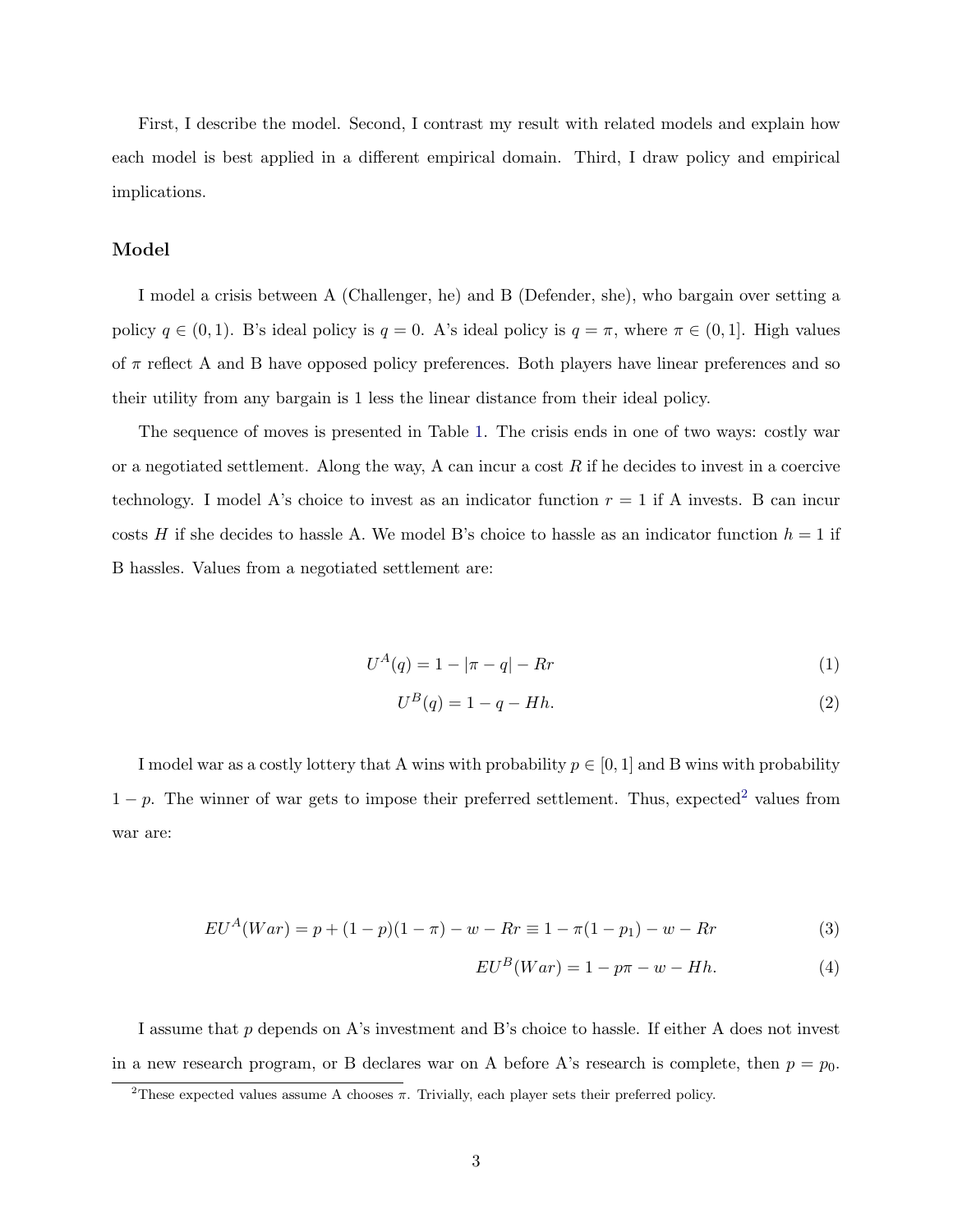First, I describe the model. Second, I contrast my result with related models and explain how each model is best applied in a different empirical domain. Third, I draw policy and empirical implications.

#### Model

I model a crisis between A (Challenger, he) and B (Defender, she), who bargain over setting a policy  $q \in (0,1)$ . B's ideal policy is  $q = 0$ . A's ideal policy is  $q = \pi$ , where  $\pi \in (0,1]$ . High values of  $\pi$  reflect A and B have opposed policy preferences. Both players have linear preferences and so their utility from any bargain is 1 less the linear distance from their ideal policy.

The sequence of moves is presented in Table [1.](#page-4-0) The crisis ends in one of two ways: costly war or a negotiated settlement. Along the way, A can incur a cost  $R$  if he decides to invest in a coercive technology. I model A's choice to invest as an indicator function  $r = 1$  if A invests. B can incur costs H if she decides to hassle A. We model B's choice to hassle as an indicator function  $h = 1$  if B hassles. Values from a negotiated settlement are:

$$
U^{A}(q) = 1 - |\pi - q| - Rr \tag{1}
$$

$$
U^B(q) = 1 - q - Hh.\tag{2}
$$

I model war as a costly lottery that A wins with probability  $p \in [0, 1]$  and B wins with probability  $1 - p$ . The winner of war gets to impose their preferred settlement. Thus, expected<sup>[2](#page-3-0)</sup> values from war are:

$$
EU^{A}(War) = p + (1 - p)(1 - \pi) - w - Rr \equiv 1 - \pi(1 - p_{1}) - w - Rr
$$
\n(3)

$$
EU^B(War) = 1 - p\pi - w - Hh.
$$
 (4)

I assume that p depends on A's investment and B's choice to hassle. If either A does not invest in a new research program, or B declares war on A before A's research is complete, then  $p = p_0$ .

<span id="page-3-0"></span><sup>&</sup>lt;sup>2</sup>These expected values assume A chooses  $\pi$ . Trivially, each player sets their preferred policy.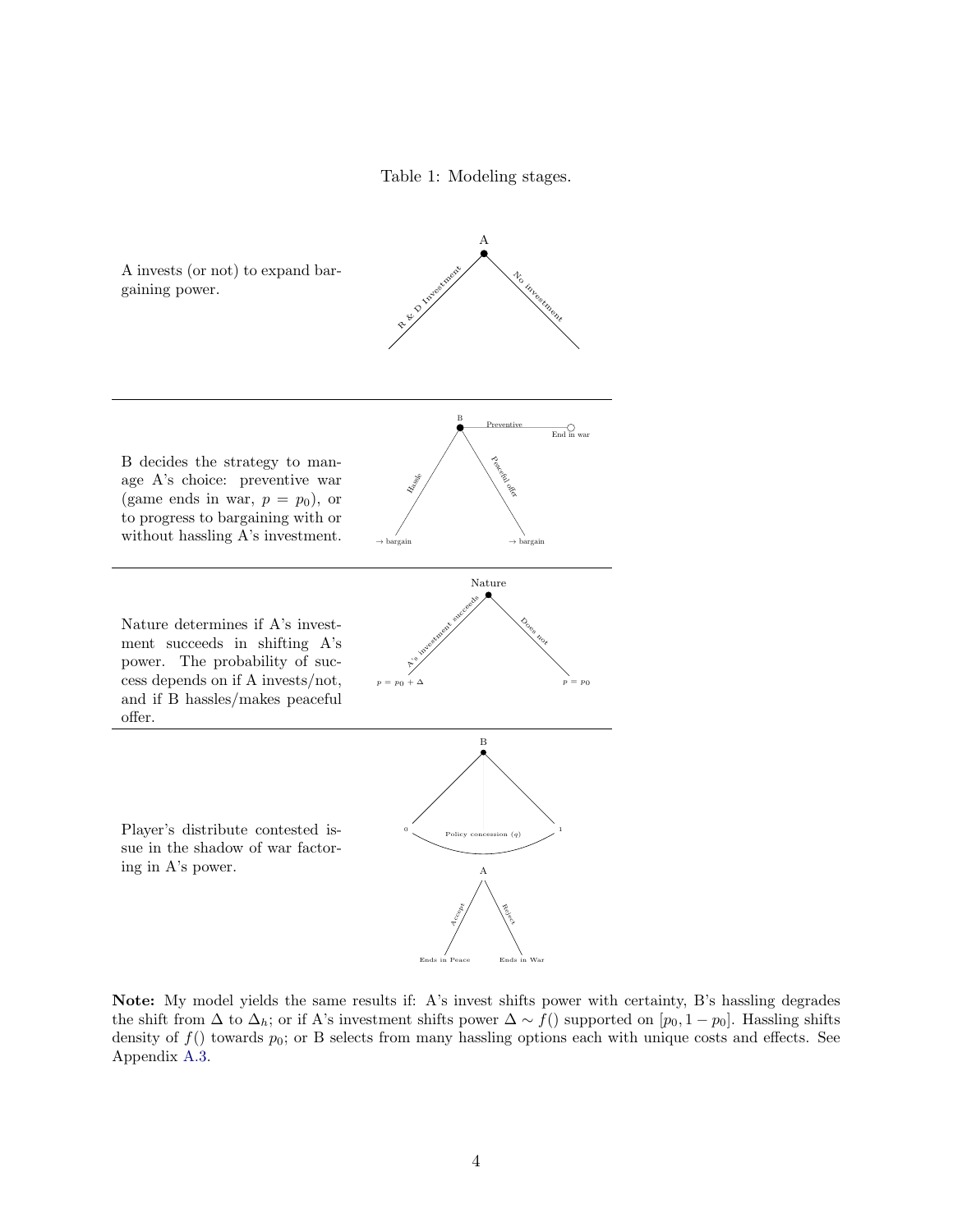Table 1: Modeling stages.

<span id="page-4-0"></span>

Note: My model yields the same results if: A's invest shifts power with certainty, B's hassling degrades the shift from  $\Delta$  to  $\Delta_h$ ; or if A's investment shifts power  $\Delta \sim f($ ) supported on [ $p_0$ , 1 –  $p_0$ ]. Hassling shifts density of  $f()$  towards  $p_0$ ; or B selects from many hassling options each with unique costs and effects. See Appendix [A.3.](#page-21-0)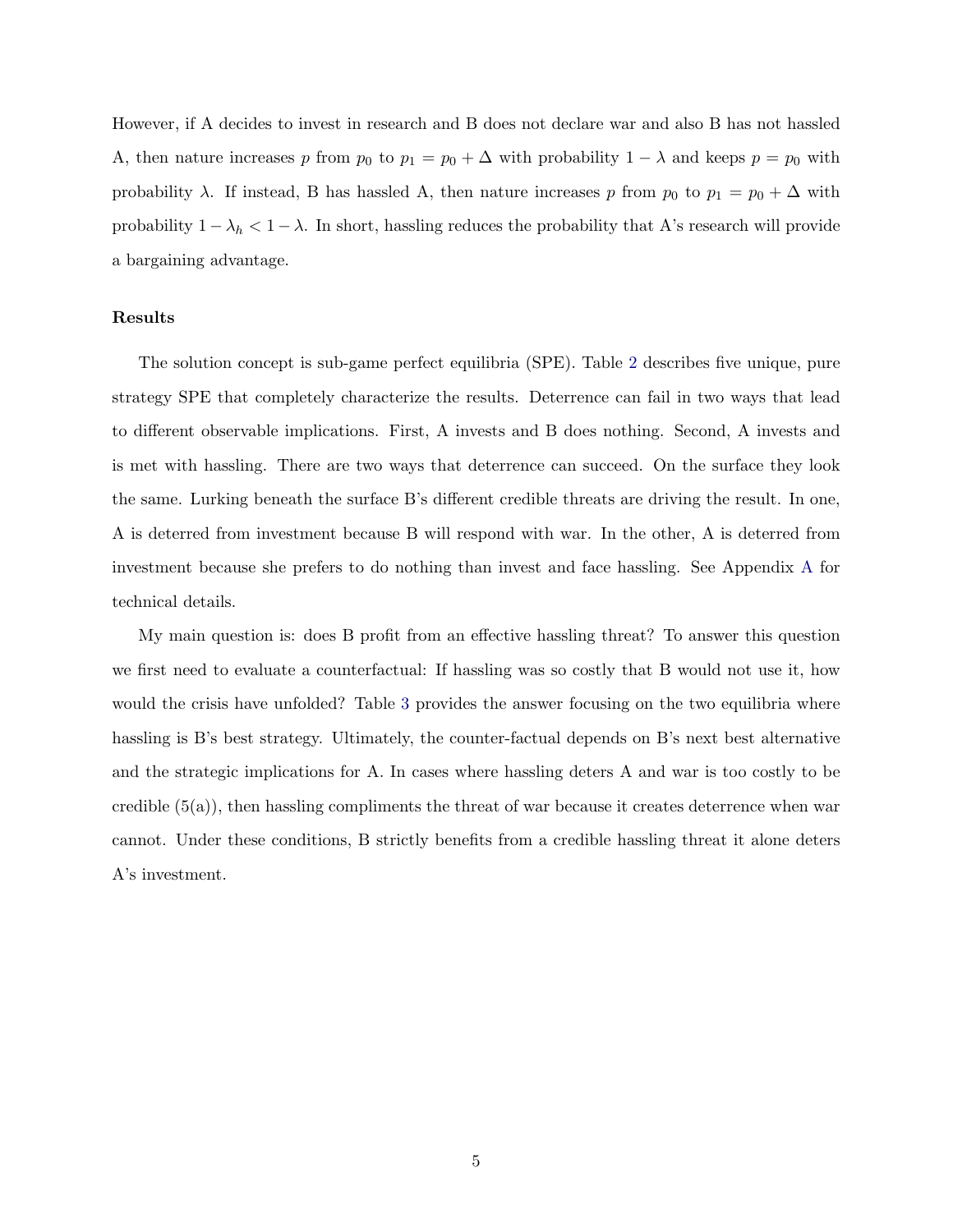However, if A decides to invest in research and B does not declare war and also B has not hassled A, then nature increases p from  $p_0$  to  $p_1 = p_0 + \Delta$  with probability  $1 - \lambda$  and keeps  $p = p_0$  with probability  $\lambda$ . If instead, B has hassled A, then nature increases p from  $p_0$  to  $p_1 = p_0 + \Delta$  with probability  $1 - \lambda_h < 1 - \lambda$ . In short, hassling reduces the probability that A's research will provide a bargaining advantage.

#### Results

The solution concept is sub-game perfect equilibria (SPE). Table [2](#page-6-0) describes five unique, pure strategy SPE that completely characterize the results. Deterrence can fail in two ways that lead to different observable implications. First, A invests and B does nothing. Second, A invests and is met with hassling. There are two ways that deterrence can succeed. On the surface they look the same. Lurking beneath the surface B's different credible threats are driving the result. In one, A is deterred from investment because B will respond with war. In the other, A is deterred from investment because she prefers to do nothing than invest and face hassling. See Appendix [A](#page-16-0) for technical details.

My main question is: does B profit from an effective hassling threat? To answer this question we first need to evaluate a counterfactual: If hassling was so costly that B would not use it, how would the crisis have unfolded? Table [3](#page-6-1) provides the answer focusing on the two equilibria where hassling is B's best strategy. Ultimately, the counter-factual depends on B's next best alternative and the strategic implications for A. In cases where hassling deters A and war is too costly to be credible  $(5(a))$ , then hassling compliments the threat of war because it creates deterrence when war cannot. Under these conditions, B strictly benefits from a credible hassling threat it alone deters A's investment.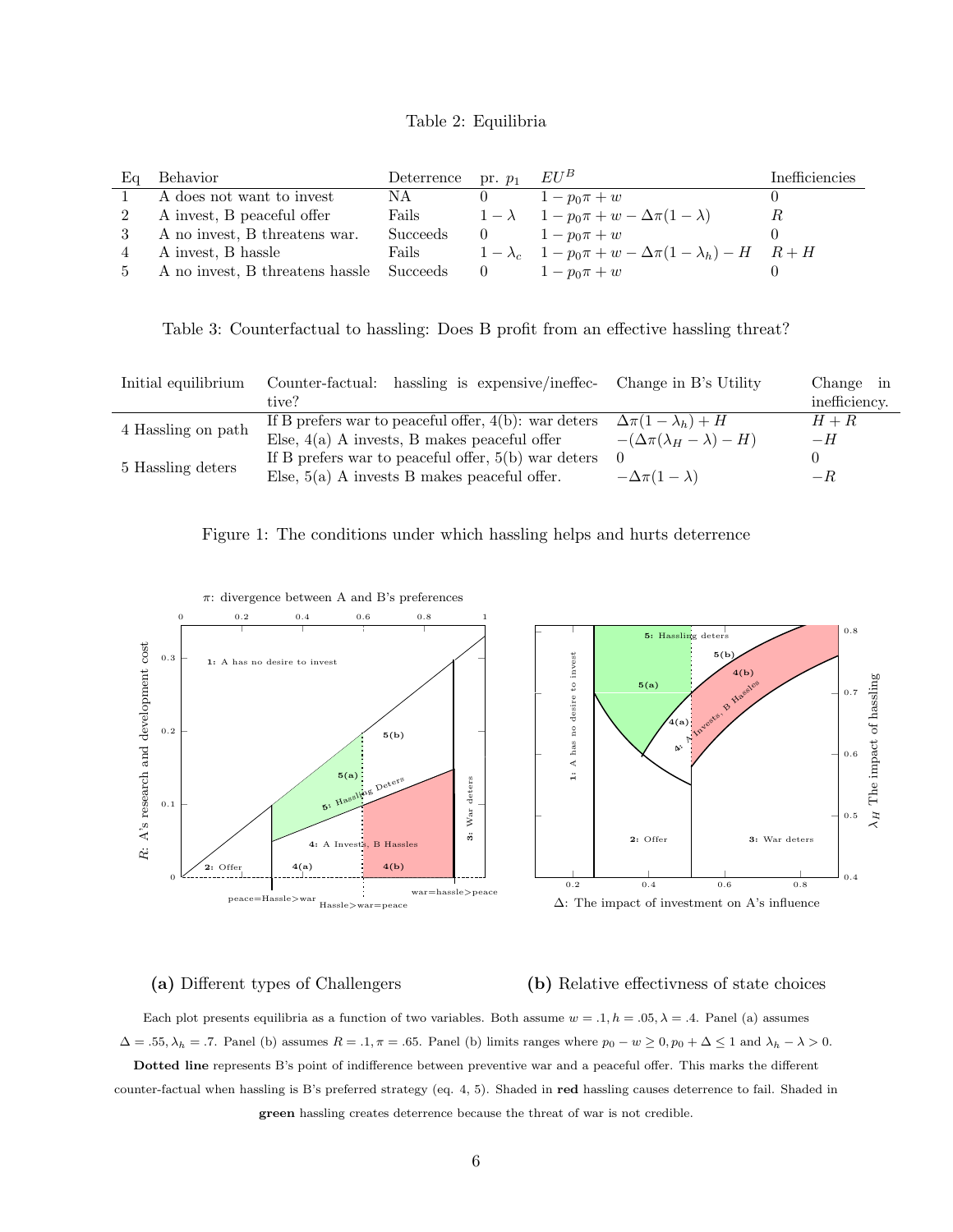| Table 2: Equilibria |  |  |  |  |  |
|---------------------|--|--|--|--|--|
|---------------------|--|--|--|--|--|

<span id="page-6-0"></span>

| Eα | Behavior                                 | Deterrence pr. $p_1$ $EU^B$ |                                        |                                                                            | Inefficiencies |
|----|------------------------------------------|-----------------------------|----------------------------------------|----------------------------------------------------------------------------|----------------|
|    | A does not want to invest                | NA                          |                                        | $1 - p_0 \pi + w$                                                          |                |
|    | A invest, B peaceful offer               | Fails                       |                                        | $1 - \lambda$ $1 - p_0 \pi + w - \Delta \pi (1 - \lambda)$                 |                |
|    | A no invest, B threatens war.            | Succeeds                    | $\begin{array}{ccc} & & 0 \end{array}$ | $1 - p_0 \pi + w$                                                          |                |
|    | A invest, B hassle                       | Fails                       |                                        | $1 - \lambda_c$ $1 - p_0 \pi + w - \Delta \pi (1 - \lambda_h) - H$ $R + H$ |                |
|    | A no invest, B threatens has le Succeeds |                             | $\hspace{1.6cm}0$                      | $1 - p_0 \pi + w$                                                          |                |

<span id="page-6-1"></span>Table 3: Counterfactual to hassling: Does B profit from an effective hassling threat?

| Initial equilibrium | Counter-factual: hassling is expensive/ineffec-<br>tive?                                                  | Change in B's Utility                                                         | Change in<br>inefficiency. |
|---------------------|-----------------------------------------------------------------------------------------------------------|-------------------------------------------------------------------------------|----------------------------|
| 4 Hassling on path  | If B prefers war to peaceful offer, $4(b)$ : war deters<br>Else, $4(a)$ A invests, B makes peaceful offer | $\Delta \pi (1 - \lambda_h) + H$<br>$-(\Delta \pi (\lambda_H - \lambda) - H)$ | $H+R$<br>$-H$              |
| 5 Hassling deters   | If B prefers war to peaceful offer, $5(b)$ war deters<br>Else, $5(a)$ A invests B makes peaceful offer.   | $\Omega$<br>$-\Delta \pi (1-\lambda)$                                         | $-R$                       |

<span id="page-6-2"></span>



#### (a) Different types of Challengers

#### (b) Relative effectivness of state choices

Each plot presents equilibria as a function of two variables. Both assume  $w = .1, h = .05, \lambda = .4$ . Panel (a) assumes  $\Delta = .55, \lambda_h = .7.$  Panel (b) assumes  $R = .1, \pi = .65.$  Panel (b) limits ranges where  $p_0 - w \ge 0, p_0 + \Delta \le 1$  and  $\lambda_h - \lambda > 0.$ Dotted line represents B's point of indifference between preventive war and a peaceful offer. This marks the different counter-factual when hassling is B's preferred strategy (eq. 4, 5). Shaded in red hassling causes deterrence to fail. Shaded in green hassling creates deterrence because the threat of war is not credible.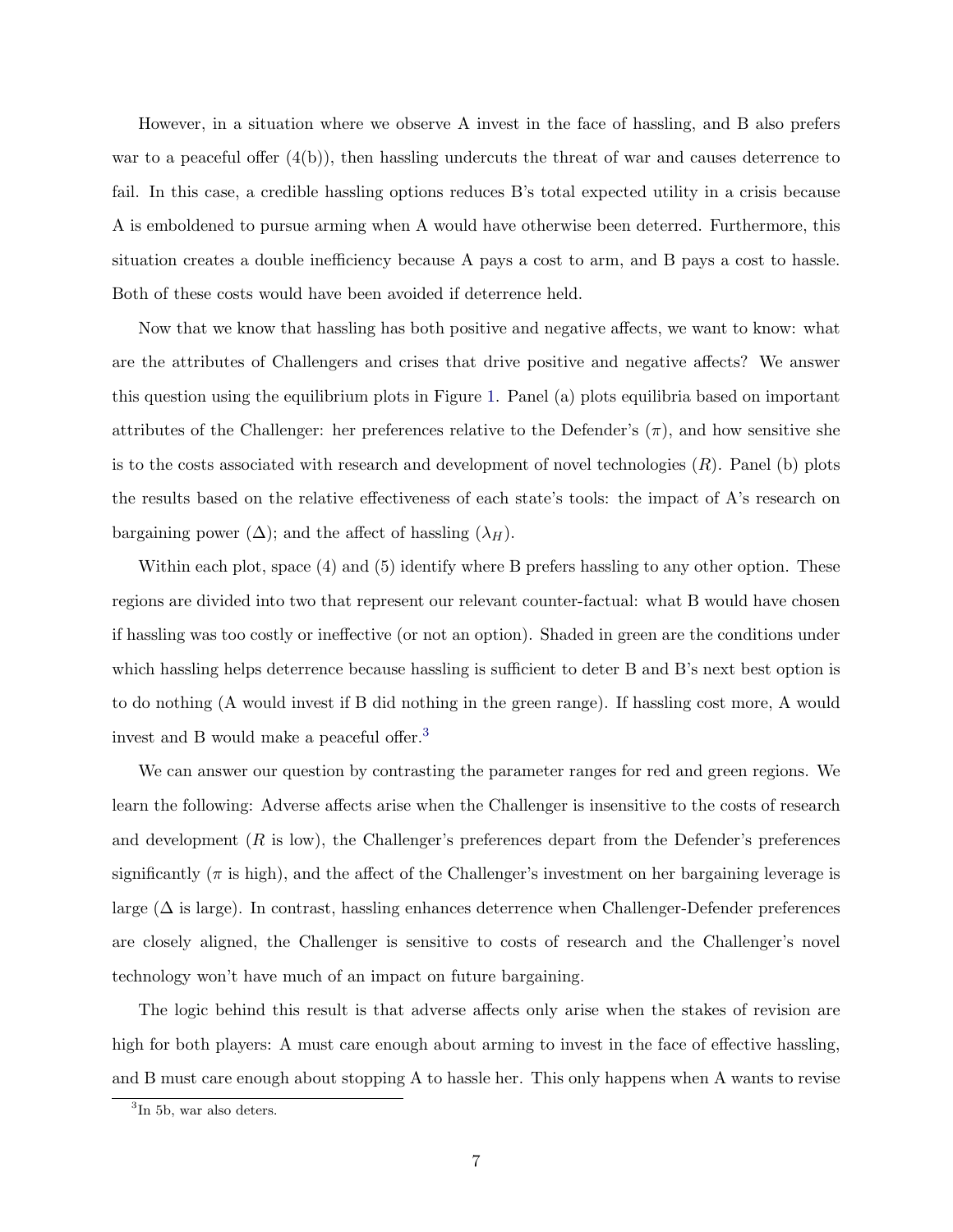However, in a situation where we observe A invest in the face of hassling, and B also prefers war to a peaceful offer  $(4(b))$ , then hassling undercuts the threat of war and causes deterrence to fail. In this case, a credible hassling options reduces B's total expected utility in a crisis because A is emboldened to pursue arming when A would have otherwise been deterred. Furthermore, this situation creates a double inefficiency because A pays a cost to arm, and B pays a cost to hassle. Both of these costs would have been avoided if deterrence held.

Now that we know that hassling has both positive and negative affects, we want to know: what are the attributes of Challengers and crises that drive positive and negative affects? We answer this question using the equilibrium plots in Figure [1.](#page-6-2) Panel (a) plots equilibria based on important attributes of the Challenger: her preferences relative to the Defender's  $(\pi)$ , and how sensitive she is to the costs associated with research and development of novel technologies  $(R)$ . Panel (b) plots the results based on the relative effectiveness of each state's tools: the impact of A's research on bargaining power  $(\Delta)$ ; and the affect of hassling  $(\lambda_H)$ .

Within each plot, space (4) and (5) identify where B prefers hassling to any other option. These regions are divided into two that represent our relevant counter-factual: what B would have chosen if hassling was too costly or ineffective (or not an option). Shaded in green are the conditions under which hassling helps deterrence because hassling is sufficient to deter B and B's next best option is to do nothing (A would invest if B did nothing in the green range). If hassling cost more, A would invest and B would make a peaceful offer.[3](#page-7-0)

We can answer our question by contrasting the parameter ranges for red and green regions. We learn the following: Adverse affects arise when the Challenger is insensitive to the costs of research and development  $(R \text{ is low})$ , the Challenger's preferences depart from the Defender's preferences significantly  $(\pi$  is high), and the affect of the Challenger's investment on her bargaining leverage is large (∆ is large). In contrast, hassling enhances deterrence when Challenger-Defender preferences are closely aligned, the Challenger is sensitive to costs of research and the Challenger's novel technology won't have much of an impact on future bargaining.

The logic behind this result is that adverse affects only arise when the stakes of revision are high for both players: A must care enough about arming to invest in the face of effective hassling, and B must care enough about stopping A to hassle her. This only happens when A wants to revise

<span id="page-7-0"></span><sup>3</sup> In 5b, war also deters.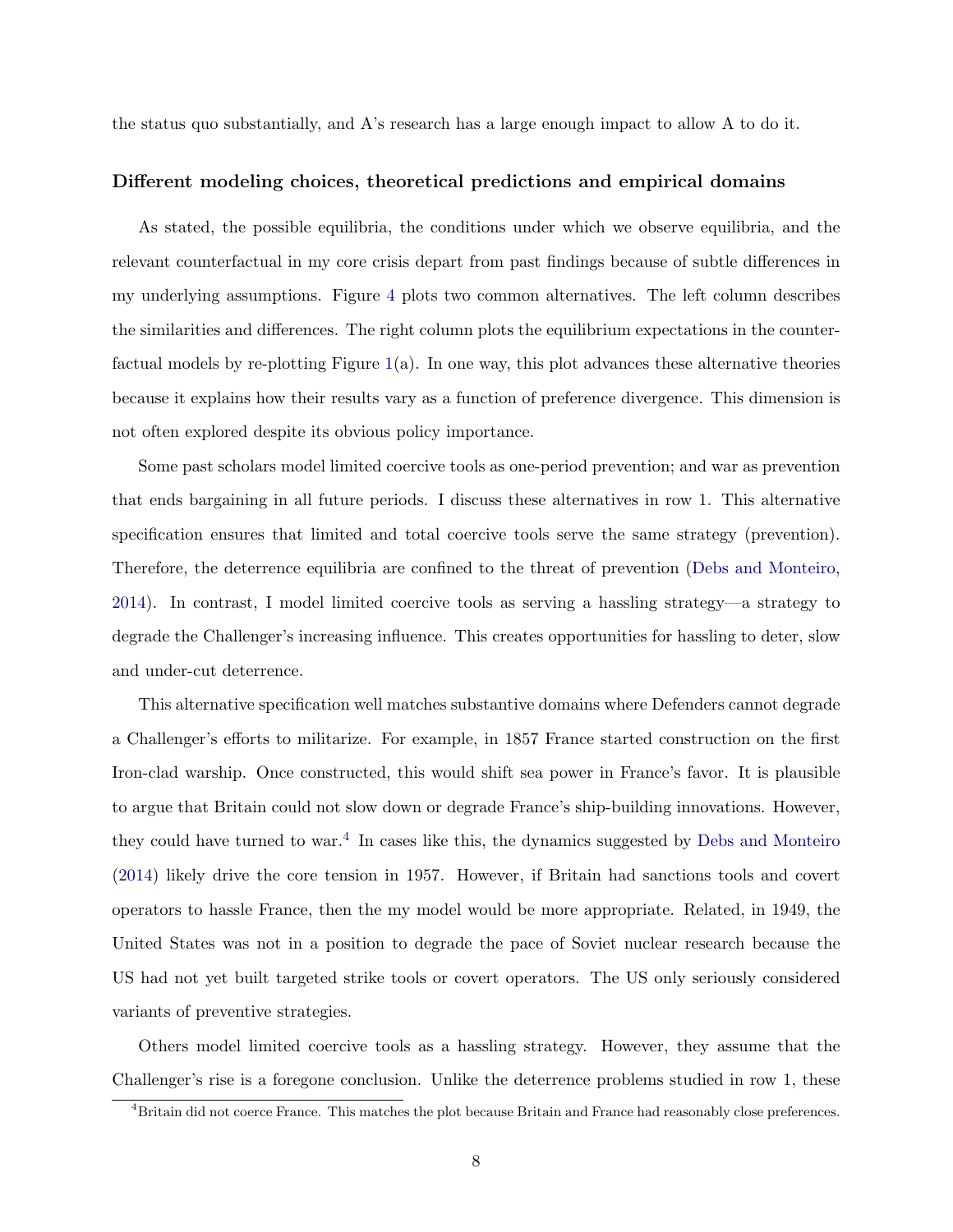the status quo substantially, and A's research has a large enough impact to allow A to do it.

#### Different modeling choices, theoretical predictions and empirical domains

As stated, the possible equilibria, the conditions under which we observe equilibria, and the relevant counterfactual in my core crisis depart from past findings because of subtle differences in my underlying assumptions. Figure [4](#page-9-0) plots two common alternatives. The left column describes the similarities and differences. The right column plots the equilibrium expectations in the counterfactual models by re-plotting Figure  $1(a)$  $1(a)$ . In one way, this plot advances these alternative theories because it explains how their results vary as a function of preference divergence. This dimension is not often explored despite its obvious policy importance.

Some past scholars model limited coercive tools as one-period prevention; and war as prevention that ends bargaining in all future periods. I discuss these alternatives in row 1. This alternative specification ensures that limited and total coercive tools serve the same strategy (prevention). Therefore, the deterrence equilibria are confined to the threat of prevention [\(Debs and Monteiro,](#page-13-10) [2014\)](#page-13-10). In contrast, I model limited coercive tools as serving a hassling strategy—a strategy to degrade the Challenger's increasing influence. This creates opportunities for hassling to deter, slow and under-cut deterrence.

This alternative specification well matches substantive domains where Defenders cannot degrade a Challenger's efforts to militarize. For example, in 1857 France started construction on the first Iron-clad warship. Once constructed, this would shift sea power in France's favor. It is plausible to argue that Britain could not slow down or degrade France's ship-building innovations. However, they could have turned to war.<sup>[4](#page-8-0)</sup> In cases like this, the dynamics suggested by [Debs and Monteiro](#page-13-10) [\(2014\)](#page-13-10) likely drive the core tension in 1957. However, if Britain had sanctions tools and covert operators to hassle France, then the my model would be more appropriate. Related, in 1949, the United States was not in a position to degrade the pace of Soviet nuclear research because the US had not yet built targeted strike tools or covert operators. The US only seriously considered variants of preventive strategies.

Others model limited coercive tools as a hassling strategy. However, they assume that the Challenger's rise is a foregone conclusion. Unlike the deterrence problems studied in row 1, these

<span id="page-8-0"></span><sup>4</sup>Britain did not coerce France. This matches the plot because Britain and France had reasonably close preferences.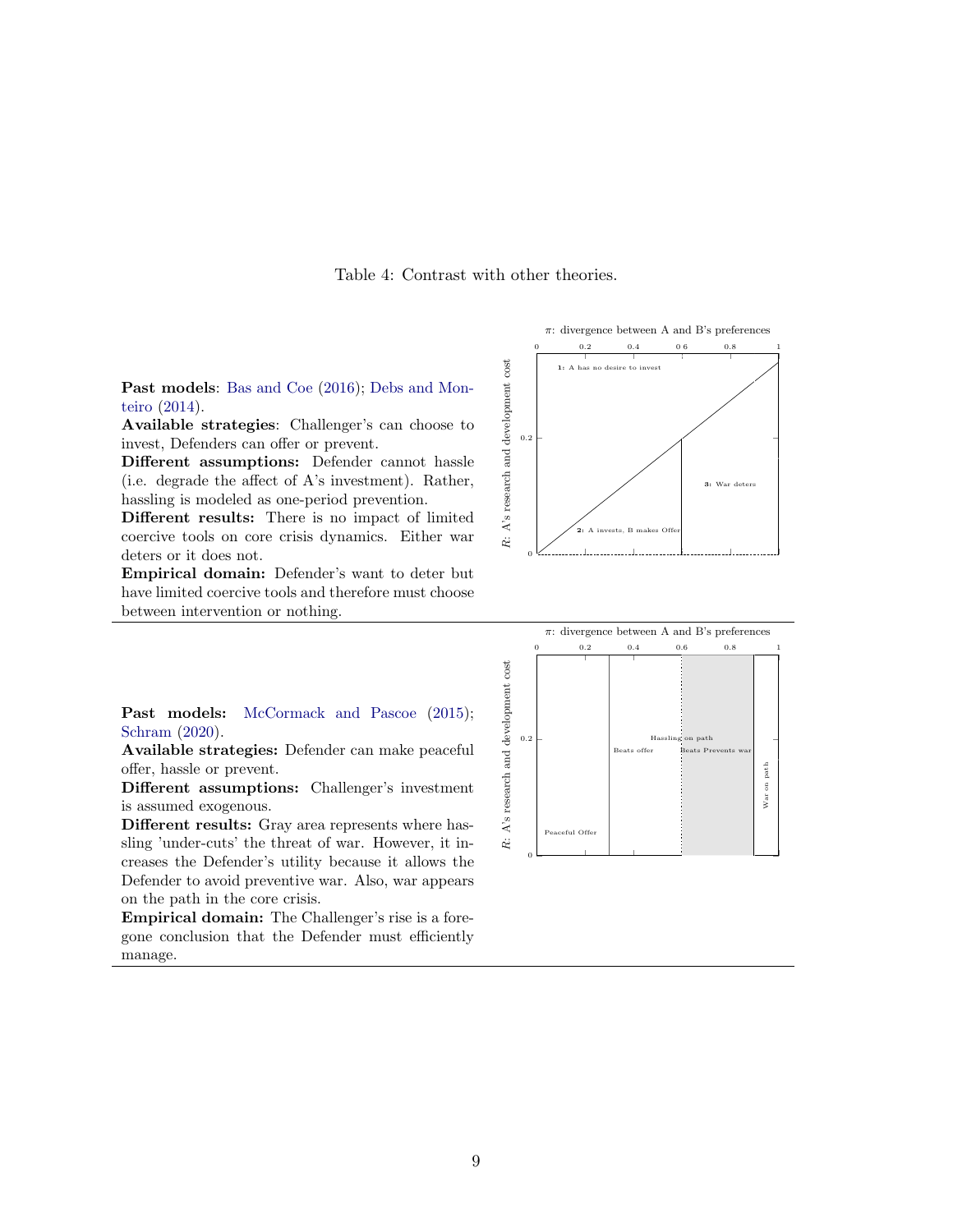Table 4: Contrast with other theories.

<span id="page-9-0"></span>Past models: [Bas and Coe](#page-13-9) [\(2016\)](#page-13-9); [Debs and Mon](#page-13-10)[teiro](#page-13-10) [\(2014\)](#page-13-10).

Available strategies: Challenger's can choose to invest, Defenders can offer or prevent.

Different assumptions: Defender cannot hassle (i.e. degrade the affect of A's investment). Rather, hassling is modeled as one-period prevention.

Different results: There is no impact of limited coercive tools on core crisis dynamics. Either war deters or it does not.

Empirical domain: Defender's want to deter but have limited coercive tools and therefore must choose between intervention or nothing.

Past models: [McCormack and Pascoe](#page-13-11) [\(2015\)](#page-13-11); [Schram](#page-14-0) [\(2020\)](#page-14-0).

Available strategies: Defender can make peaceful offer, hassle or prevent.

Different assumptions: Challenger's investment is assumed exogenous.

Different results: Gray area represents where hassling 'under-cuts' the threat of war. However, it increases the Defender's utility because it allows the Defender to avoid preventive war. Also, war appears on the path in the core crisis.

Empirical domain: The Challenger's rise is a foregone conclusion that the Defender must efficiently manage.



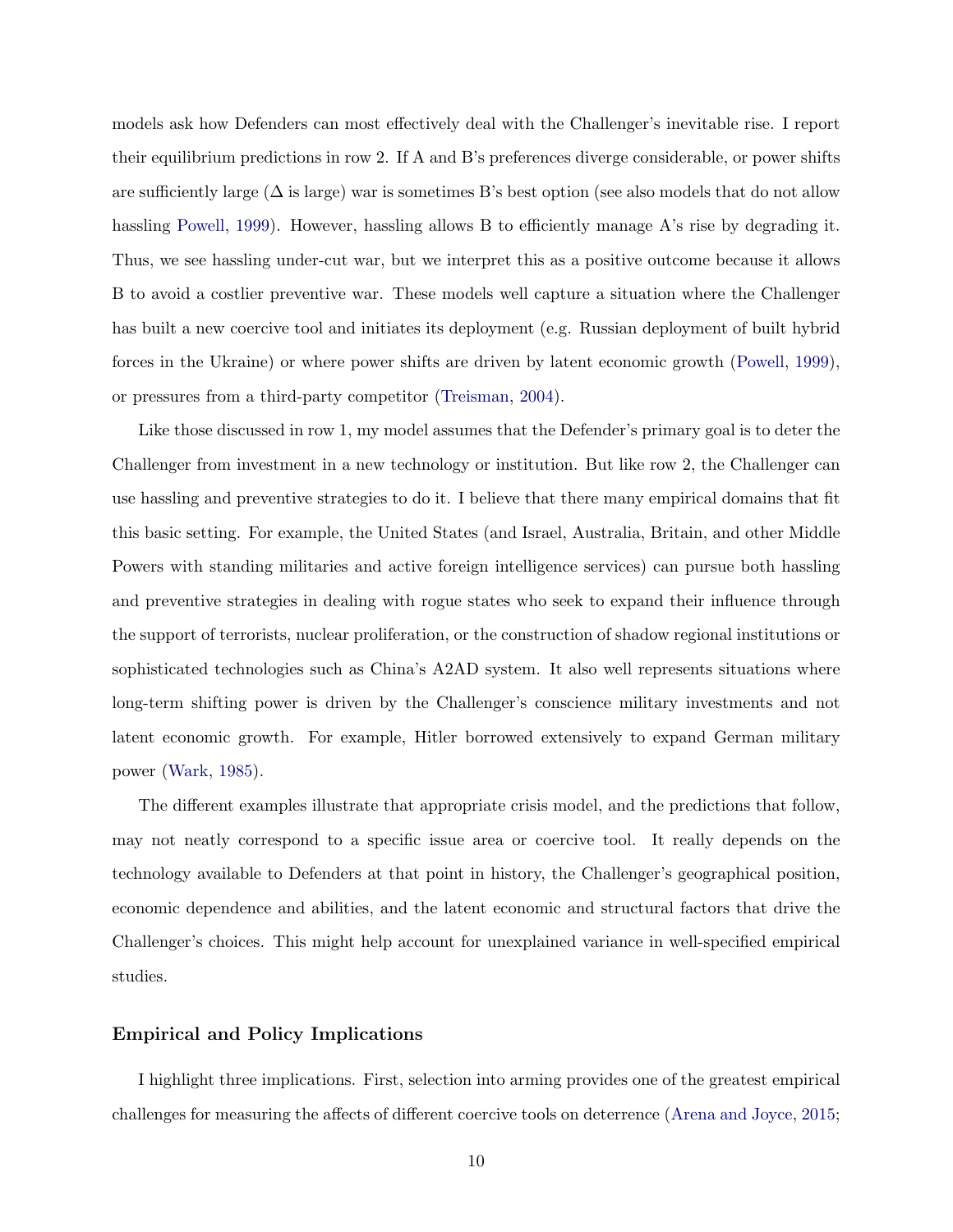models ask how Defenders can most effectively deal with the Challenger's inevitable rise. I report their equilibrium predictions in row 2. If A and B's preferences diverge considerable, or power shifts are sufficiently large  $(\Delta \text{ is large})$  war is sometimes B's best option (see also models that do not allow hassling [Powell,](#page-14-9) [1999\)](#page-14-9). However, hassling allows B to efficiently manage A's rise by degrading it. Thus, we see hassling under-cut war, but we interpret this as a positive outcome because it allows B to avoid a costlier preventive war. These models well capture a situation where the Challenger has built a new coercive tool and initiates its deployment (e.g. Russian deployment of built hybrid forces in the Ukraine) or where power shifts are driven by latent economic growth [\(Powell,](#page-14-9) [1999\)](#page-14-9), or pressures from a third-party competitor [\(Treisman,](#page-14-10) [2004\)](#page-14-10).

Like those discussed in row 1, my model assumes that the Defender's primary goal is to deter the Challenger from investment in a new technology or institution. But like row 2, the Challenger can use hassling and preventive strategies to do it. I believe that there many empirical domains that fit this basic setting. For example, the United States (and Israel, Australia, Britain, and other Middle Powers with standing militaries and active foreign intelligence services) can pursue both hassling and preventive strategies in dealing with rogue states who seek to expand their influence through the support of terrorists, nuclear proliferation, or the construction of shadow regional institutions or sophisticated technologies such as China's A2AD system. It also well represents situations where long-term shifting power is driven by the Challenger's conscience military investments and not latent economic growth. For example, Hitler borrowed extensively to expand German military power [\(Wark,](#page-14-11) [1985\)](#page-14-11).

The different examples illustrate that appropriate crisis model, and the predictions that follow, may not neatly correspond to a specific issue area or coercive tool. It really depends on the technology available to Defenders at that point in history, the Challenger's geographical position, economic dependence and abilities, and the latent economic and structural factors that drive the Challenger's choices. This might help account for unexplained variance in well-specified empirical studies.

#### Empirical and Policy Implications

I highlight three implications. First, selection into arming provides one of the greatest empirical challenges for measuring the affects of different coercive tools on deterrence [\(Arena and Joyce,](#page-13-14) [2015;](#page-13-14)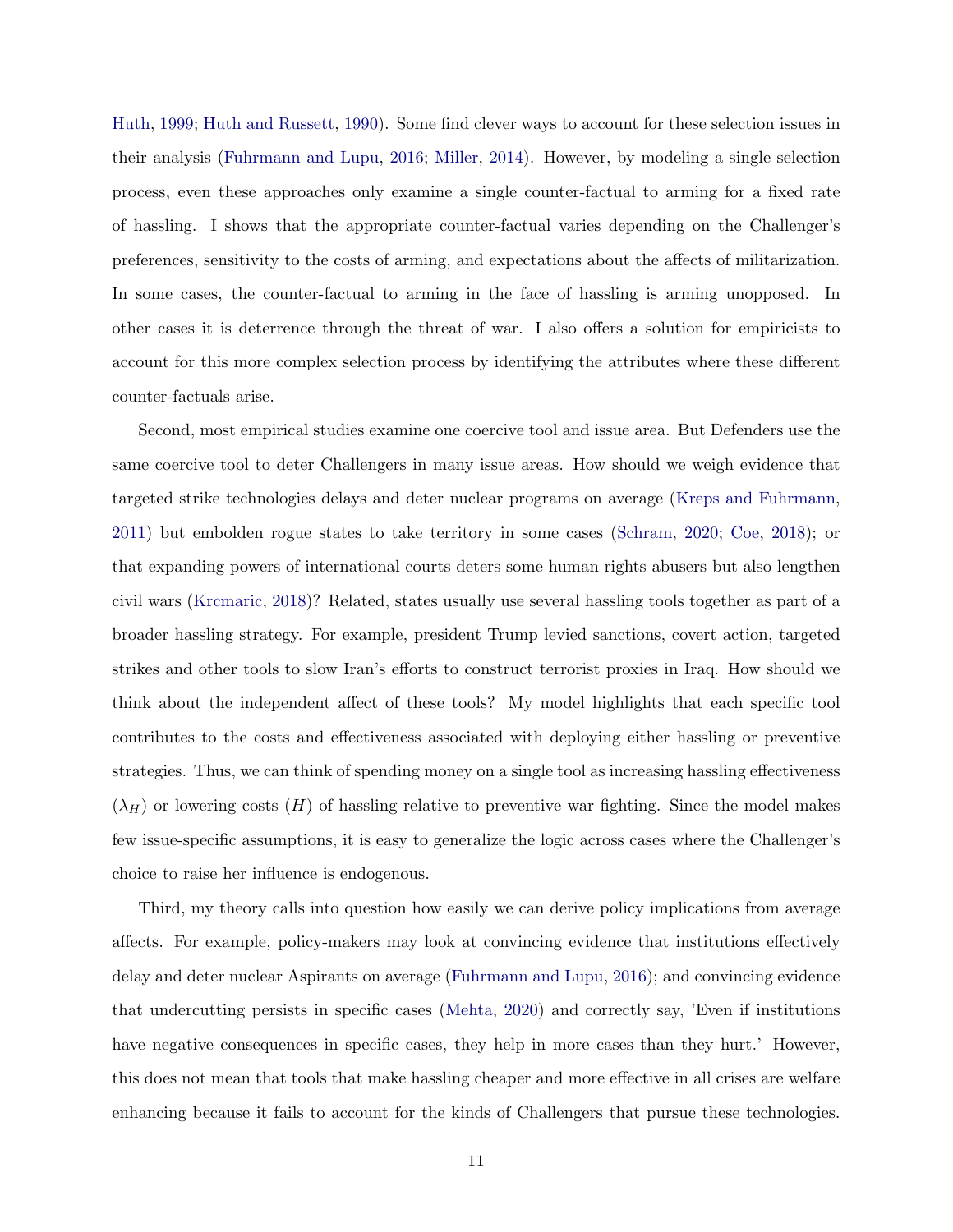[Huth,](#page-13-0) [1999;](#page-13-0) [Huth and Russett,](#page-13-15) [1990\)](#page-13-15). Some find clever ways to account for these selection issues in their analysis [\(Fuhrmann and Lupu,](#page-13-4) [2016;](#page-13-4) [Miller,](#page-13-16) [2014\)](#page-13-16). However, by modeling a single selection process, even these approaches only examine a single counter-factual to arming for a fixed rate of hassling. I shows that the appropriate counter-factual varies depending on the Challenger's preferences, sensitivity to the costs of arming, and expectations about the affects of militarization. In some cases, the counter-factual to arming in the face of hassling is arming unopposed. In other cases it is deterrence through the threat of war. I also offers a solution for empiricists to account for this more complex selection process by identifying the attributes where these different counter-factuals arise.

Second, most empirical studies examine one coercive tool and issue area. But Defenders use the same coercive tool to deter Challengers in many issue areas. How should we weigh evidence that targeted strike technologies delays and deter nuclear programs on average [\(Kreps and Fuhrmann,](#page-13-17) [2011\)](#page-13-17) but embolden rogue states to take territory in some cases [\(Schram,](#page-14-0) [2020;](#page-14-0) [Coe,](#page-13-6) [2018\)](#page-13-6); or that expanding powers of international courts deters some human rights abusers but also lengthen civil wars [\(Krcmaric,](#page-13-7) [2018\)](#page-13-7)? Related, states usually use several hassling tools together as part of a broader hassling strategy. For example, president Trump levied sanctions, covert action, targeted strikes and other tools to slow Iran's efforts to construct terrorist proxies in Iraq. How should we think about the independent affect of these tools? My model highlights that each specific tool contributes to the costs and effectiveness associated with deploying either hassling or preventive strategies. Thus, we can think of spending money on a single tool as increasing hassling effectiveness  $(\lambda_H)$  or lowering costs  $(H)$  of hassling relative to preventive war fighting. Since the model makes few issue-specific assumptions, it is easy to generalize the logic across cases where the Challenger's choice to raise her influence is endogenous.

Third, my theory calls into question how easily we can derive policy implications from average affects. For example, policy-makers may look at convincing evidence that institutions effectively delay and deter nuclear Aspirants on average [\(Fuhrmann and Lupu,](#page-13-4) [2016\)](#page-13-4); and convincing evidence that undercutting persists in specific cases [\(Mehta,](#page-13-5) [2020\)](#page-13-5) and correctly say, 'Even if institutions have negative consequences in specific cases, they help in more cases than they hurt.' However, this does not mean that tools that make hassling cheaper and more effective in all crises are welfare enhancing because it fails to account for the kinds of Challengers that pursue these technologies.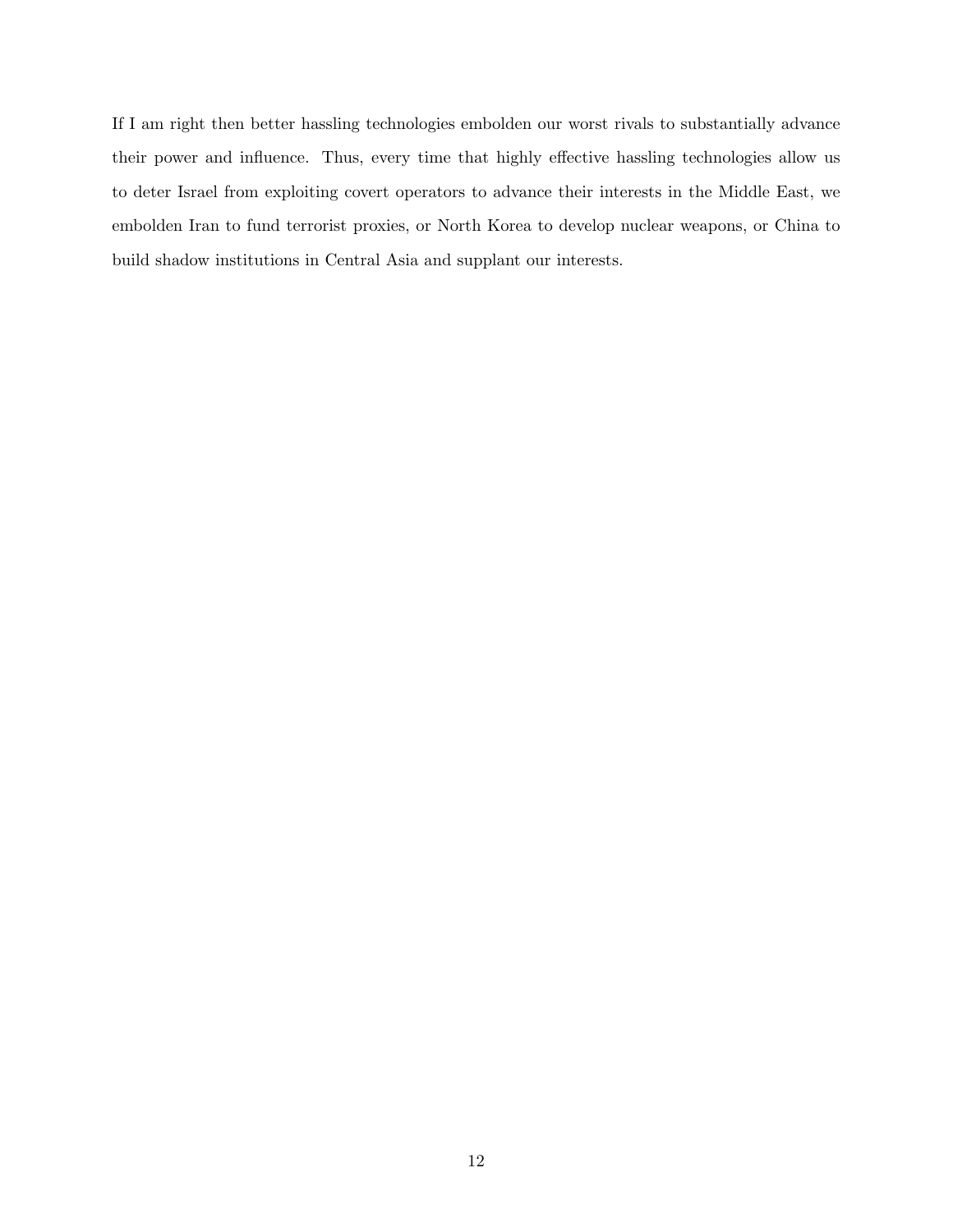If I am right then better hassling technologies embolden our worst rivals to substantially advance their power and influence. Thus, every time that highly effective hassling technologies allow us to deter Israel from exploiting covert operators to advance their interests in the Middle East, we embolden Iran to fund terrorist proxies, or North Korea to develop nuclear weapons, or China to build shadow institutions in Central Asia and supplant our interests.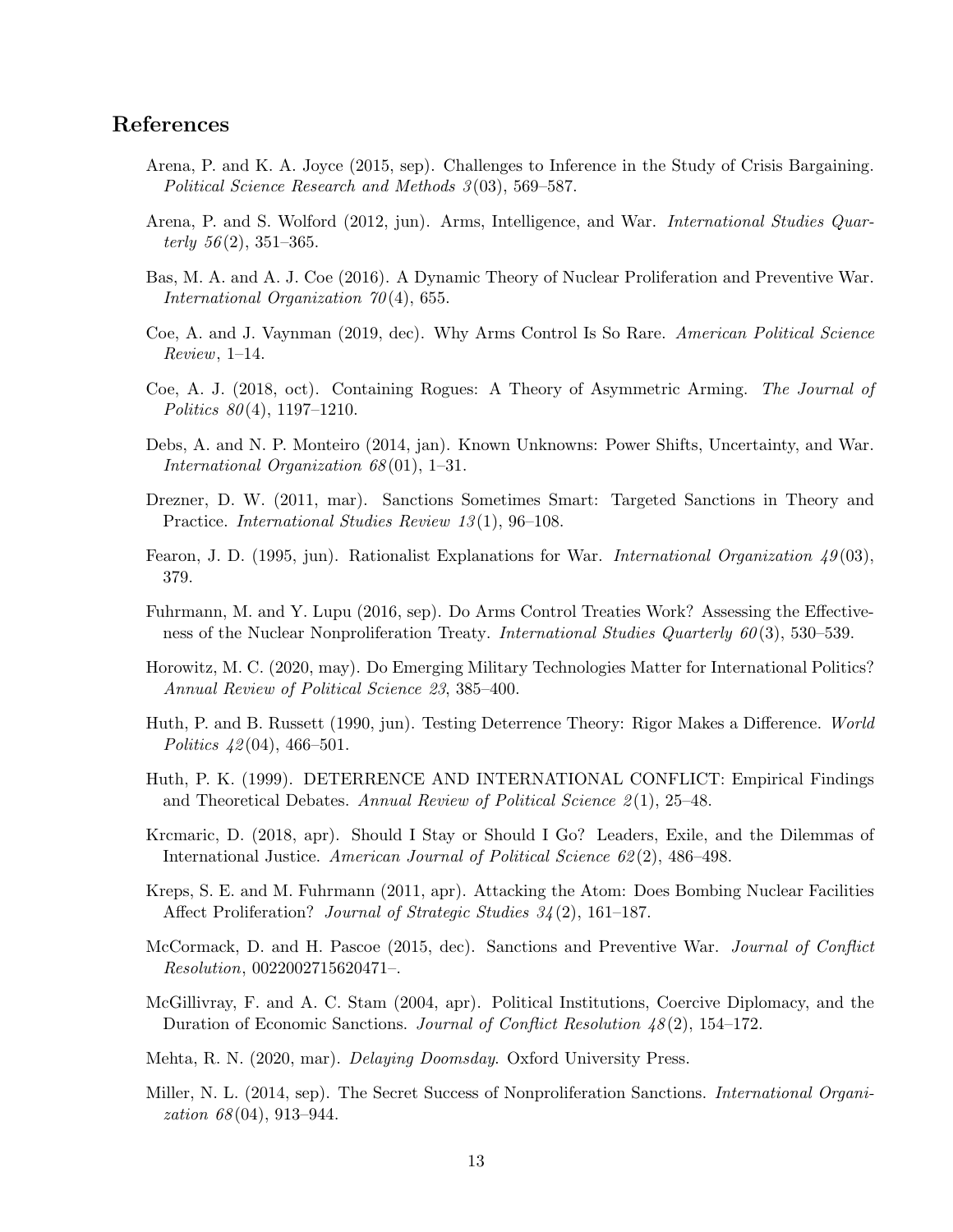#### <span id="page-13-14"></span>References

- Arena, P. and K. A. Joyce (2015, sep). Challenges to Inference in the Study of Crisis Bargaining. Political Science Research and Methods 3 (03), 569–587.
- <span id="page-13-1"></span>Arena, P. and S. Wolford (2012, jun). Arms, Intelligence, and War. International Studies Quarterly  $56(2)$ ,  $351-365$ .
- <span id="page-13-9"></span>Bas, M. A. and A. J. Coe (2016). A Dynamic Theory of Nuclear Proliferation and Preventive War. International Organization 70(4), 655.
- <span id="page-13-12"></span>Coe, A. and J. Vaynman (2019, dec). Why Arms Control Is So Rare. American Political Science Review, 1–14.
- <span id="page-13-6"></span>Coe, A. J. (2018, oct). Containing Rogues: A Theory of Asymmetric Arming. The Journal of Politics  $80(4)$ , 1197–1210.
- <span id="page-13-10"></span>Debs, A. and N. P. Monteiro (2014, jan). Known Unknowns: Power Shifts, Uncertainty, and War. International Organization 68 (01), 1–31.
- <span id="page-13-2"></span>Drezner, D. W. (2011, mar). Sanctions Sometimes Smart: Targeted Sanctions in Theory and Practice. *International Studies Review 13*(1), 96–108.
- <span id="page-13-8"></span>Fearon, J. D. (1995, jun). Rationalist Explanations for War. International Organization  $49(03)$ , 379.
- <span id="page-13-4"></span>Fuhrmann, M. and Y. Lupu (2016, sep). Do Arms Control Treaties Work? Assessing the Effectiveness of the Nuclear Nonproliferation Treaty. International Studies Quarterly 60(3), 530–539.
- <span id="page-13-13"></span>Horowitz, M. C. (2020, may). Do Emerging Military Technologies Matter for International Politics? Annual Review of Political Science 23, 385–400.
- <span id="page-13-15"></span>Huth, P. and B. Russett (1990, jun). Testing Deterrence Theory: Rigor Makes a Difference. World Politics  $42(04)$ , 466–501.
- <span id="page-13-0"></span>Huth, P. K. (1999). DETERRENCE AND INTERNATIONAL CONFLICT: Empirical Findings and Theoretical Debates. Annual Review of Political Science  $2(1)$ , 25–48.
- <span id="page-13-7"></span>Krcmaric, D. (2018, apr). Should I Stay or Should I Go? Leaders, Exile, and the Dilemmas of International Justice. American Journal of Political Science 62 (2), 486–498.
- <span id="page-13-17"></span>Kreps, S. E. and M. Fuhrmann (2011, apr). Attacking the Atom: Does Bombing Nuclear Facilities Affect Proliferation? *Journal of Strategic Studies 34* (2), 161–187.
- <span id="page-13-11"></span>McCormack, D. and H. Pascoe (2015, dec). Sanctions and Preventive War. Journal of Conflict Resolution, 0022002715620471–.
- <span id="page-13-3"></span>McGillivray, F. and A. C. Stam (2004, apr). Political Institutions, Coercive Diplomacy, and the Duration of Economic Sanctions. Journal of Conflict Resolution 48 (2), 154–172.

<span id="page-13-5"></span>Mehta, R. N. (2020, mar). *Delaying Doomsday*. Oxford University Press.

<span id="page-13-16"></span>Miller, N. L. (2014, sep). The Secret Success of Nonproliferation Sanctions. International Organization 68 (04), 913–944.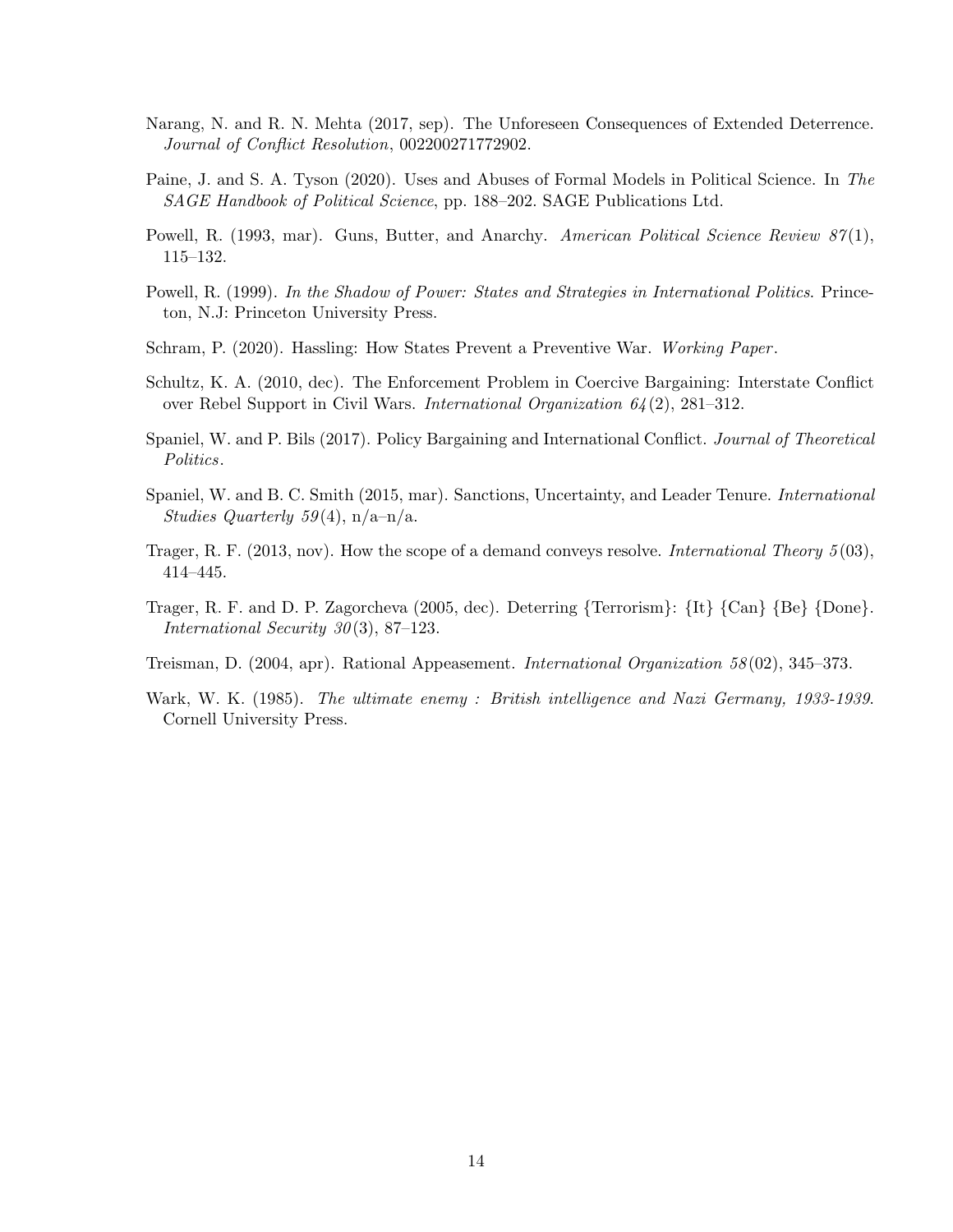- <span id="page-14-3"></span>Narang, N. and R. N. Mehta (2017, sep). The Unforeseen Consequences of Extended Deterrence. Journal of Conflict Resolution, 002200271772902.
- <span id="page-14-4"></span>Paine, J. and S. A. Tyson (2020). Uses and Abuses of Formal Models in Political Science. In The SAGE Handbook of Political Science, pp. 188–202. SAGE Publications Ltd.
- <span id="page-14-6"></span>Powell, R. (1993, mar). Guns, Butter, and Anarchy. American Political Science Review 87(1), 115–132.
- <span id="page-14-9"></span>Powell, R. (1999). In the Shadow of Power: States and Strategies in International Politics. Princeton, N.J: Princeton University Press.
- <span id="page-14-0"></span>Schram, P. (2020). Hassling: How States Prevent a Preventive War. Working Paper.
- <span id="page-14-5"></span>Schultz, K. A. (2010, dec). The Enforcement Problem in Coercive Bargaining: Interstate Conflict over Rebel Support in Civil Wars. International Organization 64 (2), 281–312.
- <span id="page-14-7"></span>Spaniel, W. and P. Bils (2017). Policy Bargaining and International Conflict. *Journal of Theoretical* Politics.
- <span id="page-14-1"></span>Spaniel, W. and B. C. Smith (2015, mar). Sanctions, Uncertainty, and Leader Tenure. *International* Studies Quarterly 59(4),  $n/a-n/a$ .
- <span id="page-14-8"></span>Trager, R. F. (2013, nov). How the scope of a demand conveys resolve. International Theory 5 (03), 414–445.
- <span id="page-14-2"></span>Trager, R. F. and D. P. Zagorcheva (2005, dec). Deterring {Terrorism}: {It} {Can} {Be} {Done}. International Security  $30(3)$ , 87–123.
- <span id="page-14-10"></span>Treisman, D. (2004, apr). Rational Appeasement. International Organization 58 (02), 345–373.
- <span id="page-14-11"></span>Wark, W. K. (1985). The ultimate enemy : British intelligence and Nazi Germany, 1933-1939. Cornell University Press.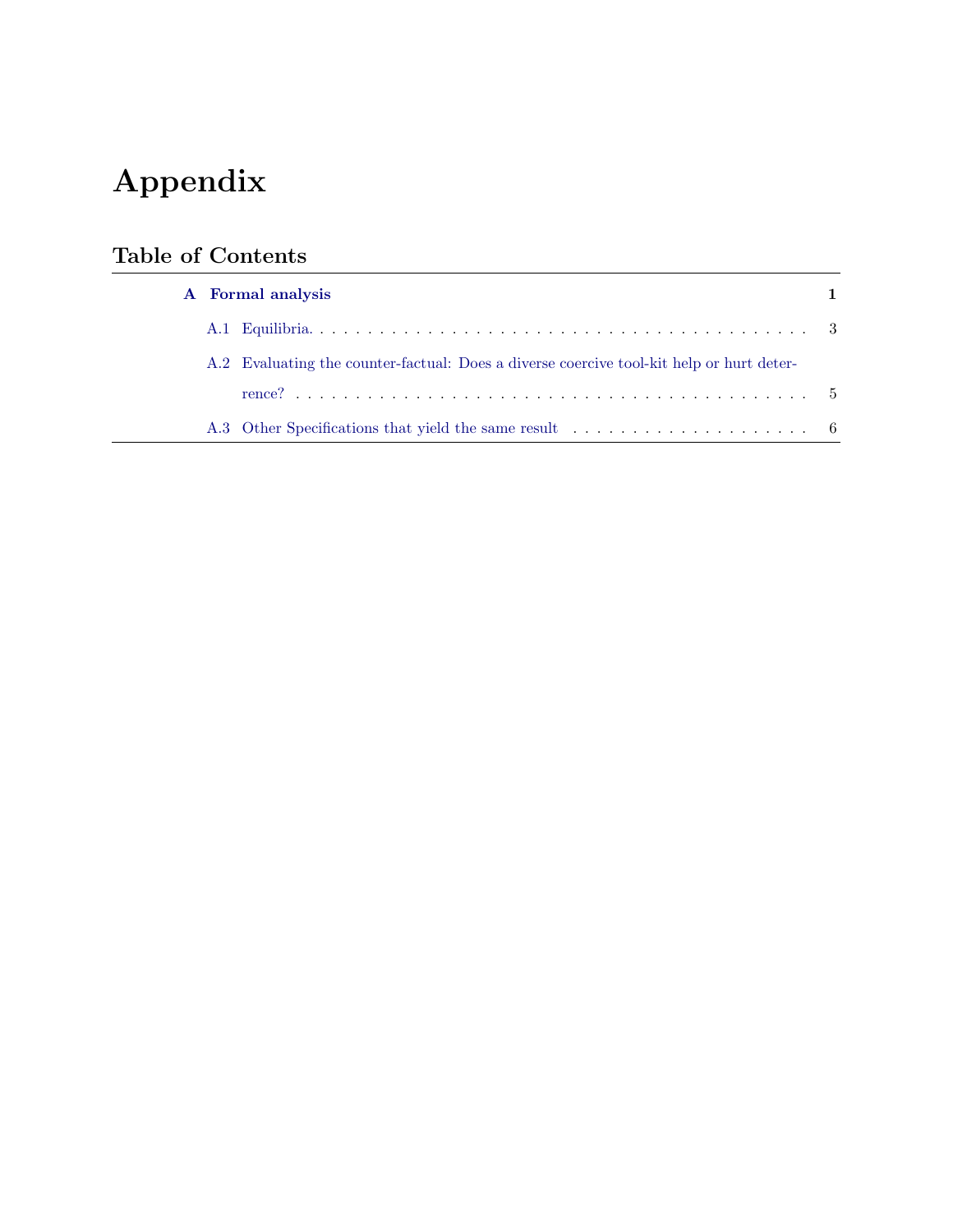# Appendix

# Table of Contents

| A Formal analysis |                                                                                          |  |  |
|-------------------|------------------------------------------------------------------------------------------|--|--|
|                   |                                                                                          |  |  |
|                   | A.2 Evaluating the counter-factual: Does a diverse coercive tool-kit help or hurt deter- |  |  |
|                   |                                                                                          |  |  |
|                   |                                                                                          |  |  |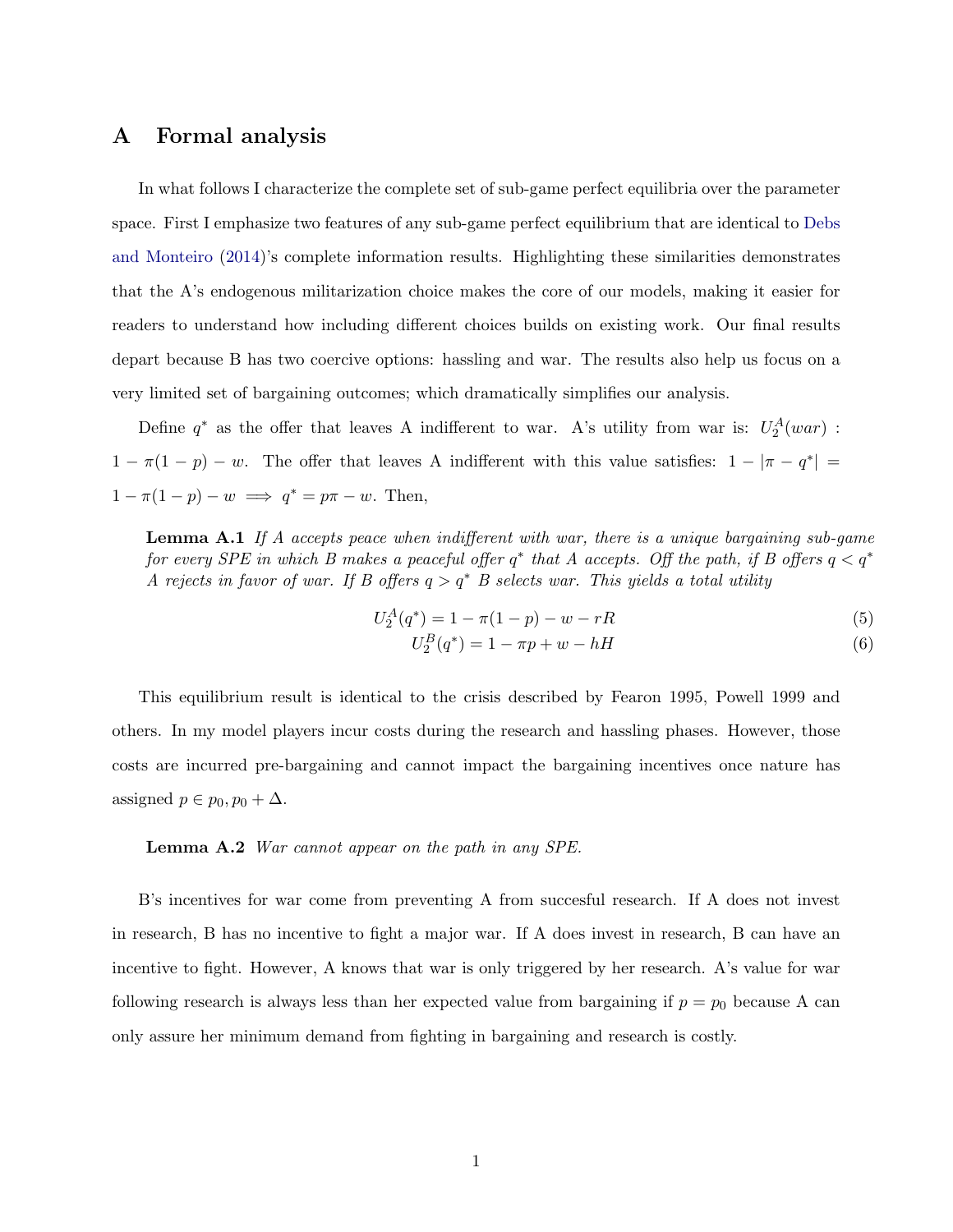### <span id="page-16-0"></span>A Formal analysis

In what follows I characterize the complete set of sub-game perfect equilibria over the parameter space. First I emphasize two features of any sub-game perfect equilibrium that are identical to [Debs](#page-13-10) [and Monteiro](#page-13-10) [\(2014\)](#page-13-10)'s complete information results. Highlighting these similarities demonstrates that the A's endogenous militarization choice makes the core of our models, making it easier for readers to understand how including different choices builds on existing work. Our final results depart because B has two coercive options: hassling and war. The results also help us focus on a very limited set of bargaining outcomes; which dramatically simplifies our analysis.

Define  $q^*$  as the offer that leaves A indifferent to war. A's utility from war is:  $U_2^A(war)$ :  $1 - \pi(1 - p) - w$ . The offer that leaves A indifferent with this value satisfies:  $1 - |\pi - q^*|$  =  $1 - \pi(1 - p) - w \implies q^* = p\pi - w$ . Then,

**Lemma A.1** If A accepts peace when indifferent with war, there is a unique bargaining sub-game for every SPE in which B makes a peaceful offer  $q^*$  that A accepts. Off the path, if B offers  $q < q^*$ A rejects in favor of war. If B offers  $q > q^*$  B selects war. This yields a total utility

$$
U_2^A(q^*) = 1 - \pi(1 - p) - w - rR \tag{5}
$$

$$
U_2^B(q^*) = 1 - \pi p + w - hH
$$
\n(6)

This equilibrium result is identical to the crisis described by Fearon 1995, Powell 1999 and others. In my model players incur costs during the research and hassling phases. However, those costs are incurred pre-bargaining and cannot impact the bargaining incentives once nature has assigned  $p \in p_0, p_0 + \Delta$ .

#### Lemma A.2 War cannot appear on the path in any SPE.

B's incentives for war come from preventing A from succesful research. If A does not invest in research, B has no incentive to fight a major war. If A does invest in research, B can have an incentive to fight. However, A knows that war is only triggered by her research. A's value for war following research is always less than her expected value from bargaining if  $p = p_0$  because A can only assure her minimum demand from fighting in bargaining and research is costly.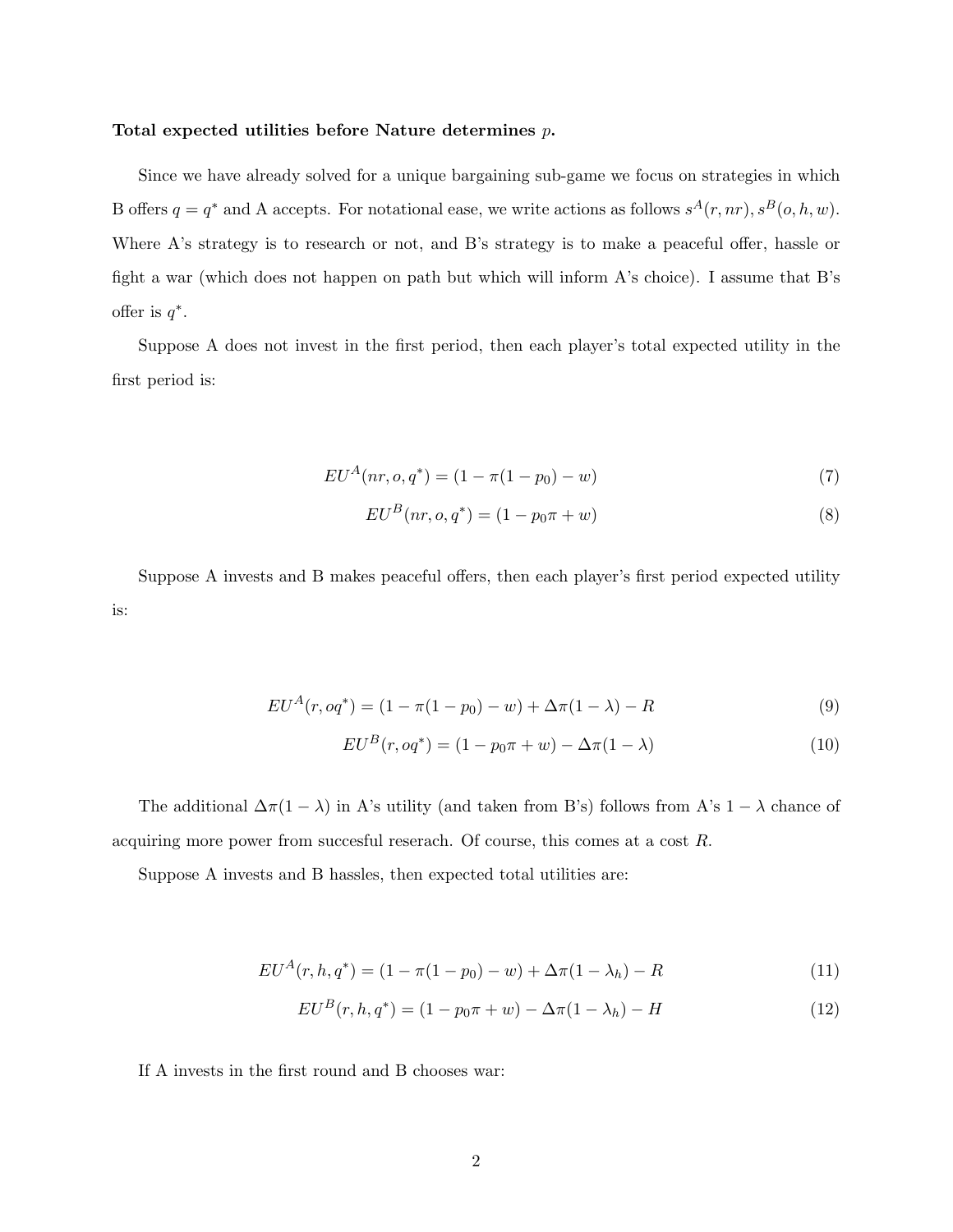#### Total expected utilities before Nature determines p.

Since we have already solved for a unique bargaining sub-game we focus on strategies in which B offers  $q = q^*$  and A accepts. For notational ease, we write actions as follows  $s^A(r, nr)$ ,  $s^B(o, h, w)$ . Where A's strategy is to research or not, and B's strategy is to make a peaceful offer, hassle or fight a war (which does not happen on path but which will inform A's choice). I assume that B's offer is  $q^*$ .

Suppose A does not invest in the first period, then each player's total expected utility in the first period is:

$$
EU^A(nr, o, q^*) = (1 - \pi(1 - p_0) - w)
$$
\n(7)

$$
EU^B(nr, o, q^*) = (1 - p_0 \pi + w)
$$
\n(8)

Suppose A invests and B makes peaceful offers, then each player's first period expected utility is:

$$
EU^{A}(r, oq^{*}) = (1 - \pi(1 - p_0) - w) + \Delta\pi(1 - \lambda) - R
$$
\n(9)

$$
EU^B(r, oq^*) = (1 - p_0 \pi + w) - \Delta \pi (1 - \lambda)
$$
\n(10)

The additional  $\Delta \pi (1 - \lambda)$  in A's utility (and taken from B's) follows from A's  $1 - \lambda$  chance of acquiring more power from succesful reserach. Of course, this comes at a cost R.

Suppose A invests and B hassles, then expected total utilities are:

$$
EU^A(r, h, q^*) = (1 - \pi(1 - p_0) - w) + \Delta\pi(1 - \lambda_h) - R \tag{11}
$$

$$
EUB(r, h, q^*) = (1 - p_0 \pi + w) - \Delta \pi (1 - \lambda_h) - H
$$
\n(12)

If A invests in the first round and B chooses war: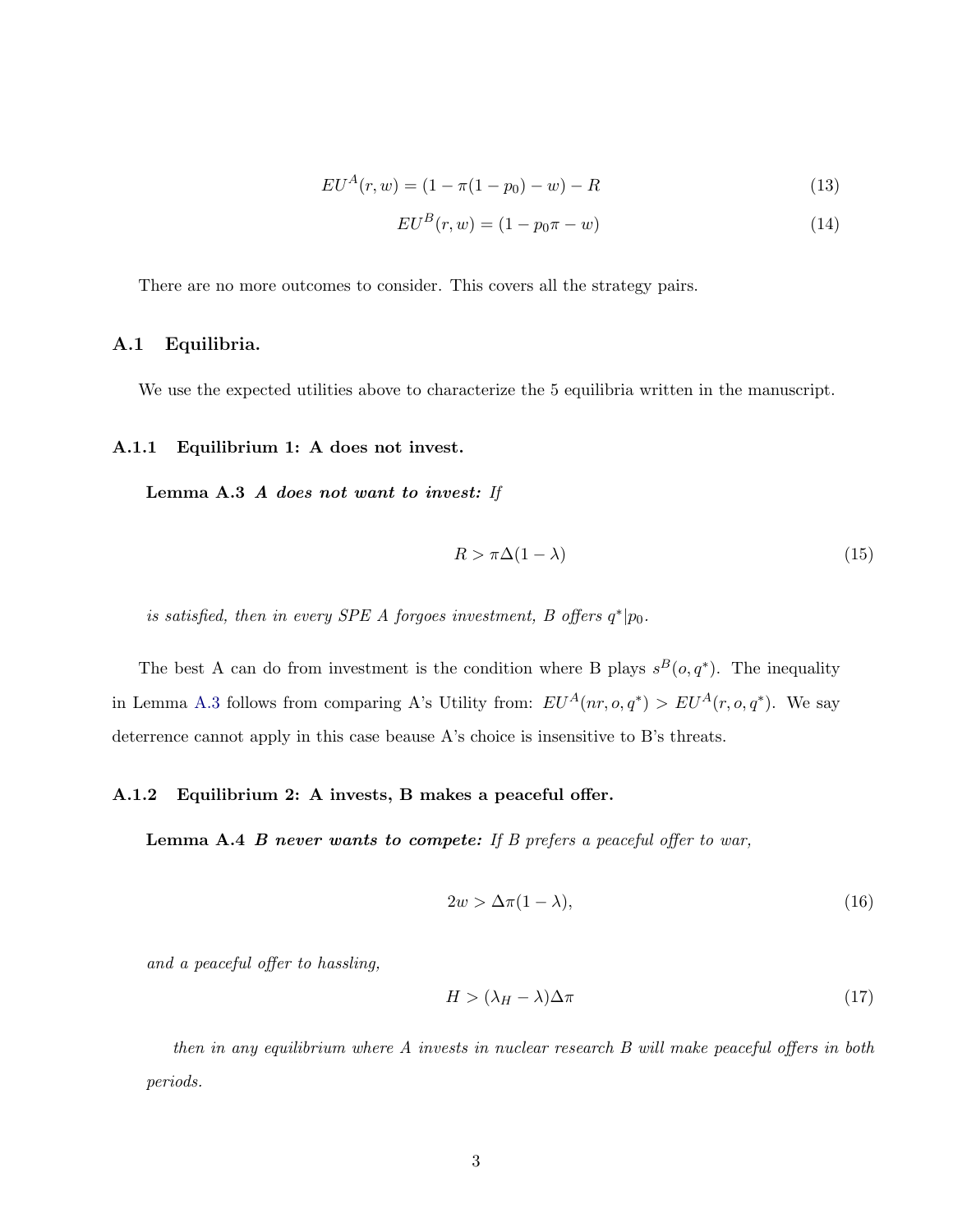$$
EU^A(r, w) = (1 - \pi(1 - p_0) - w) - R \tag{13}
$$

$$
EU^B(r, w) = (1 - p_0 \pi - w)
$$
\n(14)

There are no more outcomes to consider. This covers all the strategy pairs.

#### <span id="page-18-0"></span>A.1 Equilibria.

We use the expected utilities above to characterize the 5 equilibria written in the manuscript.

#### <span id="page-18-1"></span>A.1.1 Equilibrium 1: A does not invest.

Lemma A.3 A does not want to invest: If

<span id="page-18-3"></span>
$$
R > \pi \Delta (1 - \lambda) \tag{15}
$$

is satisfied, then in every SPE A forgoes investment, B offers  $q^*|p_0$ .

The best A can do from investment is the condition where B plays  $s^B(o,q^*)$ . The inequality in Lemma [A.3](#page-18-1) follows from comparing A's Utility from:  $EU^A(nr, o, q^*) > EU^A(r, o, q^*)$ . We say deterrence cannot apply in this case beause A's choice is insensitive to B's threats.

#### <span id="page-18-5"></span>A.1.2 Equilibrium 2: A invests, B makes a peaceful offer.

**Lemma A.4 B never wants to compete:** If B prefers a peaceful offer to war,

<span id="page-18-4"></span>
$$
2w > \Delta \pi (1 - \lambda),\tag{16}
$$

and a peaceful offer to hassling,

<span id="page-18-2"></span>
$$
H > (\lambda_H - \lambda)\Delta \pi \tag{17}
$$

then in any equilibrium where A invests in nuclear research B will make peaceful offers in both periods.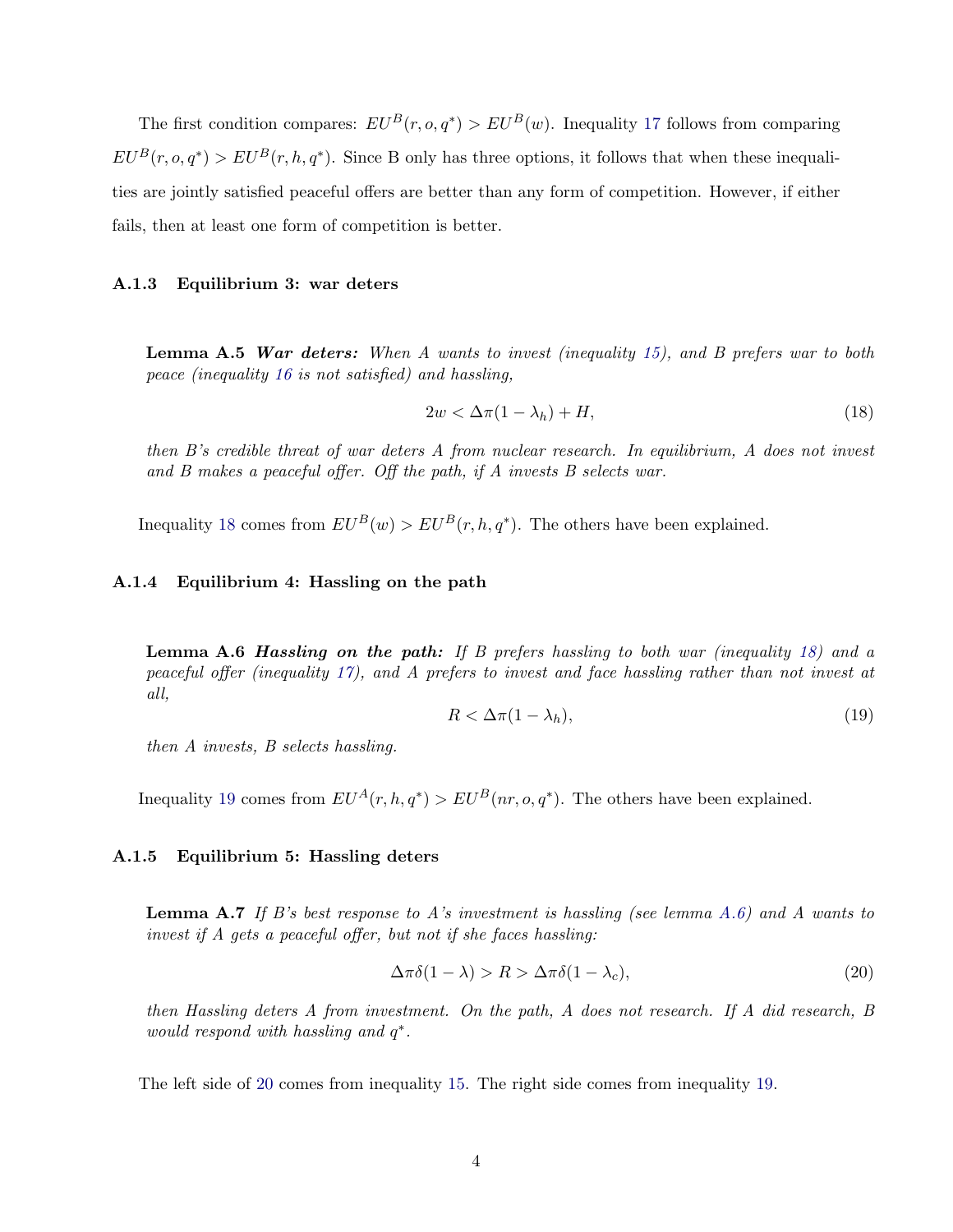The first condition compares:  $EU^B(r, o, q^*) > EU^B(w)$ . Inequality [17](#page-18-2) follows from comparing  $EU^B(r, o, q^*) > EU^B(r, h, q^*)$ . Since B only has three options, it follows that when these inequalities are jointly satisfied peaceful offers are better than any form of competition. However, if either fails, then at least one form of competition is better.

#### A.1.3 Equilibrium 3: war deters

<span id="page-19-5"></span>**Lemma A.5 War deters:** When A wants to invest (inequality [15\)](#page-18-3), and B prefers war to both peace (inequality [16](#page-18-4) is not satisfied) and hassling,

<span id="page-19-0"></span>
$$
2w < \Delta\pi(1 - \lambda_h) + H,\tag{18}
$$

then B's credible threat of war deters A from nuclear research. In equilibrium, A does not invest and B makes a peaceful offer. Off the path, if A invests B selects war.

Inequality [18](#page-19-0) comes from  $EU^B(w) > EU^B(r, h, q^*)$ . The others have been explained.

#### A.1.4 Equilibrium 4: Hassling on the path

<span id="page-19-2"></span>**Lemma A.6 Hassling on the path:** If B prefers hassling to both war (inequality [18\)](#page-19-0) and a peaceful offer (inequality [17\)](#page-18-2), and A prefers to invest and face hassling rather than not invest at all,

<span id="page-19-1"></span>
$$
R < \Delta \pi (1 - \lambda_h),\tag{19}
$$

then A invests, B selects hassling.

Inequality [19](#page-19-1) comes from  $EU^A(r, h, q^*)$  >  $EU^B(nr, o, q^*)$ . The others have been explained.

#### A.1.5 Equilibrium 5: Hassling deters

<span id="page-19-4"></span>**Lemma A.7** If B's best response to A's investment is hassling (see lemma [A.6\)](#page-19-2) and A wants to invest if A gets a peaceful offer, but not if she faces hassling:

<span id="page-19-3"></span>
$$
\Delta \pi \delta (1 - \lambda) > R > \Delta \pi \delta (1 - \lambda_c),\tag{20}
$$

then Hassling deters A from investment. On the path, A does not research. If A did research, B would respond with hassling and  $q^*$ .

The left side of [20](#page-19-3) comes from inequality [15.](#page-18-3) The right side comes from inequality [19.](#page-19-1)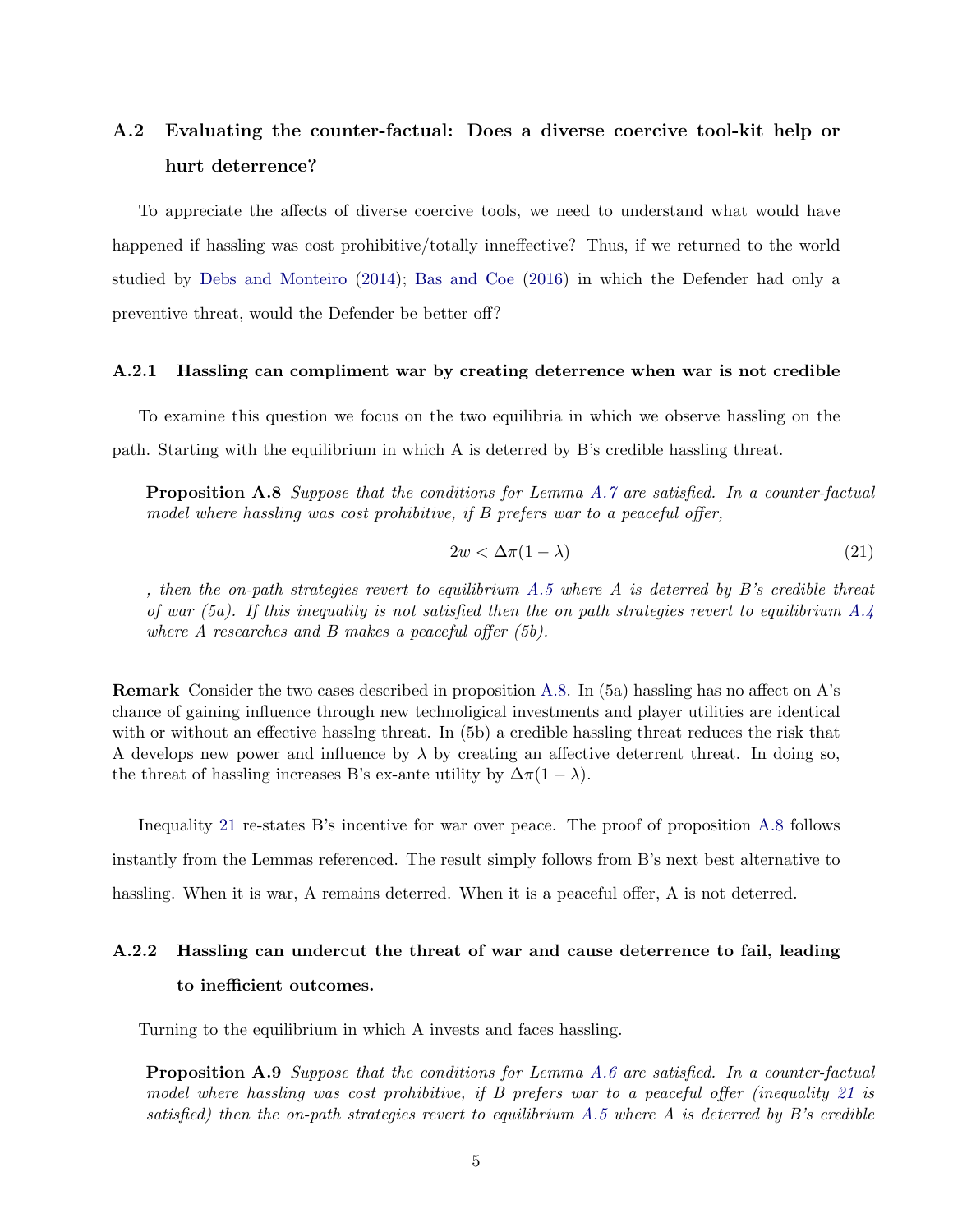## <span id="page-20-0"></span>A.2 Evaluating the counter-factual: Does a diverse coercive tool-kit help or hurt deterrence?

To appreciate the affects of diverse coercive tools, we need to understand what would have happened if hassling was cost prohibitive/totally inneffective? Thus, if we returned to the world studied by [Debs and Monteiro](#page-13-10) [\(2014\)](#page-13-10); [Bas and Coe](#page-13-9) [\(2016\)](#page-13-9) in which the Defender had only a preventive threat, would the Defender be better off?

#### A.2.1 Hassling can compliment war by creating deterrence when war is not credible

To examine this question we focus on the two equilibria in which we observe hassling on the path. Starting with the equilibrium in which A is deterred by B's credible hassling threat.

<span id="page-20-1"></span>**Proposition A.8** Suppose that the conditions for Lemma [A.7](#page-19-4) are satisfied. In a counter-factual model where hassling was cost prohibitive, if B prefers war to a peaceful offer,

<span id="page-20-2"></span>
$$
2w < \Delta \pi (1 - \lambda) \tag{21}
$$

, then the on-path strategies revert to equilibrium  $A.5$  where  $A$  is deterred by  $B$ 's credible threat of war (5a). If this inequality is not satisfied then the on path strategies revert to equilibrium  $A.\mathcal{A}$ where A researches and B makes a peaceful offer (5b).

Remark Consider the two cases described in proposition [A.8.](#page-20-1) In (5a) hassling has no affect on A's chance of gaining influence through new technoligical investments and player utilities are identical with or without an effective hasslng threat. In (5b) a credible hassling threat reduces the risk that A develops new power and influence by  $\lambda$  by creating an affective deterrent threat. In doing so, the threat of hassling increases B's ex-ante utility by  $\Delta \pi (1 - \lambda)$ .

Inequality [21](#page-20-2) re-states B's incentive for war over peace. The proof of proposition [A.8](#page-20-1) follows instantly from the Lemmas referenced. The result simply follows from B's next best alternative to hassling. When it is war, A remains deterred. When it is a peaceful offer, A is not deterred.

### A.2.2 Hassling can undercut the threat of war and cause deterrence to fail, leading to inefficient outcomes.

Turning to the equilibrium in which A invests and faces hassling.

<span id="page-20-3"></span>**Proposition A.9** Suppose that the conditions for Lemma [A.6](#page-19-2) are satisfied. In a counter-factual model where hassling was cost prohibitive, if B prefers war to a peaceful offer (inequality [21](#page-20-2) is satisfied) then the on-path strategies revert to equilibrium  $A.5$  where  $A$  is deterred by  $B$ 's credible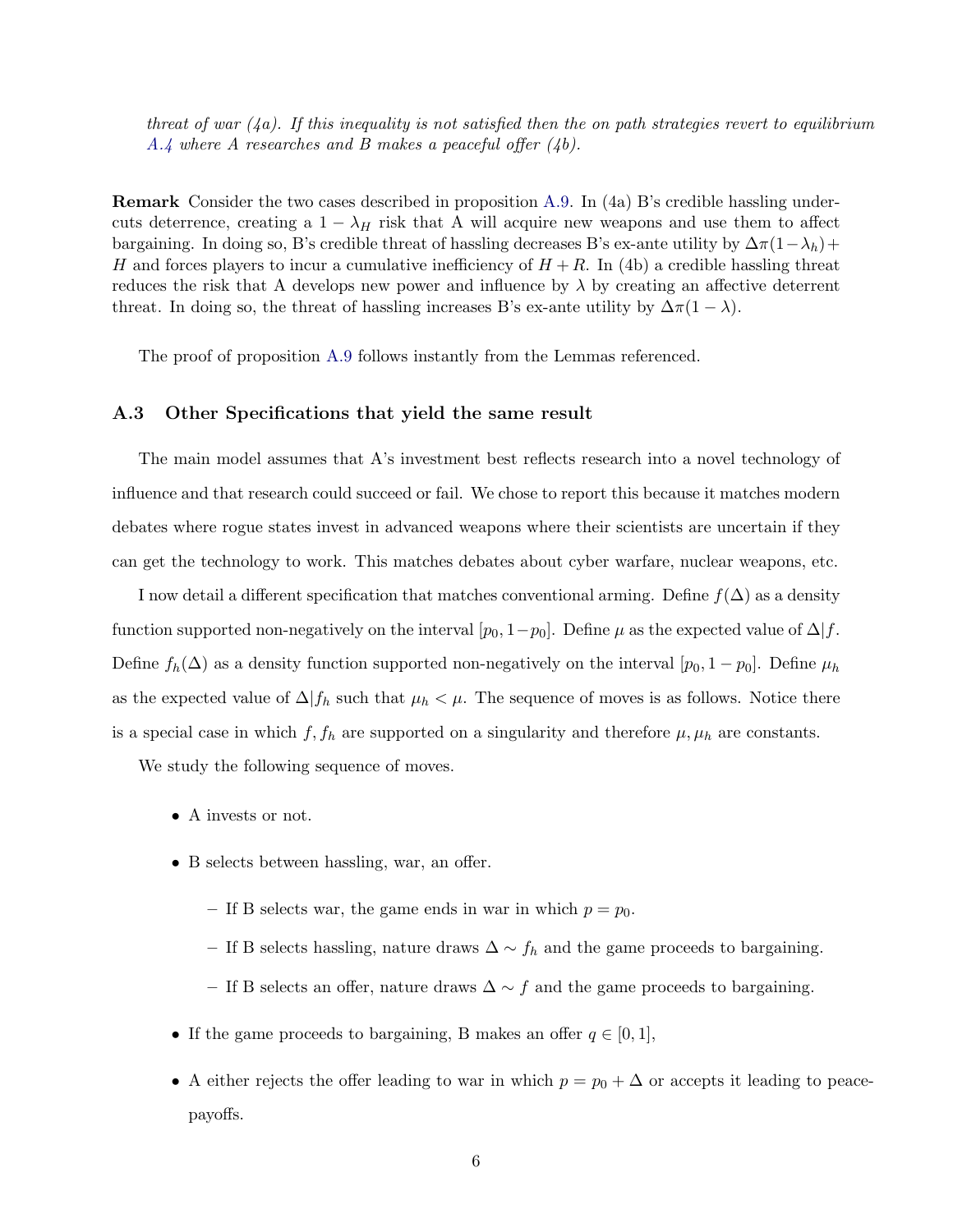threat of war  $(4a)$ . If this inequality is not satisfied then the on path strategies revert to equilibrium [A.4](#page-18-5) where A researches and B makes a peaceful offer  $(4b)$ .

Remark Consider the two cases described in proposition [A.9.](#page-20-3) In (4a) B's credible hassling undercuts deterrence, creating a  $1 - \lambda_H$  risk that A will acquire new weapons and use them to affect bargaining. In doing so, B's credible threat of hassling decreases B's ex-ante utility by  $\Delta \pi (1-\lambda_h)+$ H and forces players to incur a cumulative inefficiency of  $H + R$ . In (4b) a credible hassling threat reduces the risk that A develops new power and influence by  $\lambda$  by creating an affective deterrent threat. In doing so, the threat of hassling increases B's ex-ante utility by  $\Delta \pi (1 - \lambda)$ .

The proof of proposition [A.9](#page-20-3) follows instantly from the Lemmas referenced.

#### <span id="page-21-0"></span>A.3 Other Specifications that yield the same result

The main model assumes that A's investment best reflects research into a novel technology of influence and that research could succeed or fail. We chose to report this because it matches modern debates where rogue states invest in advanced weapons where their scientists are uncertain if they can get the technology to work. This matches debates about cyber warfare, nuclear weapons, etc.

I now detail a different specification that matches conventional arming. Define  $f(\Delta)$  as a density function supported non-negatively on the interval  $[p_0, 1-p_0]$ . Define  $\mu$  as the expected value of  $\Delta | f$ . Define  $f_h(\Delta)$  as a density function supported non-negatively on the interval  $[p_0, 1 - p_0]$ . Define  $\mu_h$ as the expected value of  $\Delta | f_h$  such that  $\mu_h < \mu$ . The sequence of moves is as follows. Notice there is a special case in which  $f, f_h$  are supported on a singularity and therefore  $\mu, \mu_h$  are constants.

We study the following sequence of moves.

- A invests or not.
- B selects between hassling, war, an offer.
	- If B selects war, the game ends in war in which  $p = p_0$ .
	- If B selects hassling, nature draws ∆ ∼ f<sup>h</sup> and the game proceeds to bargaining.
	- If B selects an offer, nature draws ∆ ∼ f and the game proceeds to bargaining.
- If the game proceeds to bargaining, B makes an offer  $q \in [0,1]$ ,
- A either rejects the offer leading to war in which  $p = p_0 + \Delta$  or accepts it leading to peacepayoffs.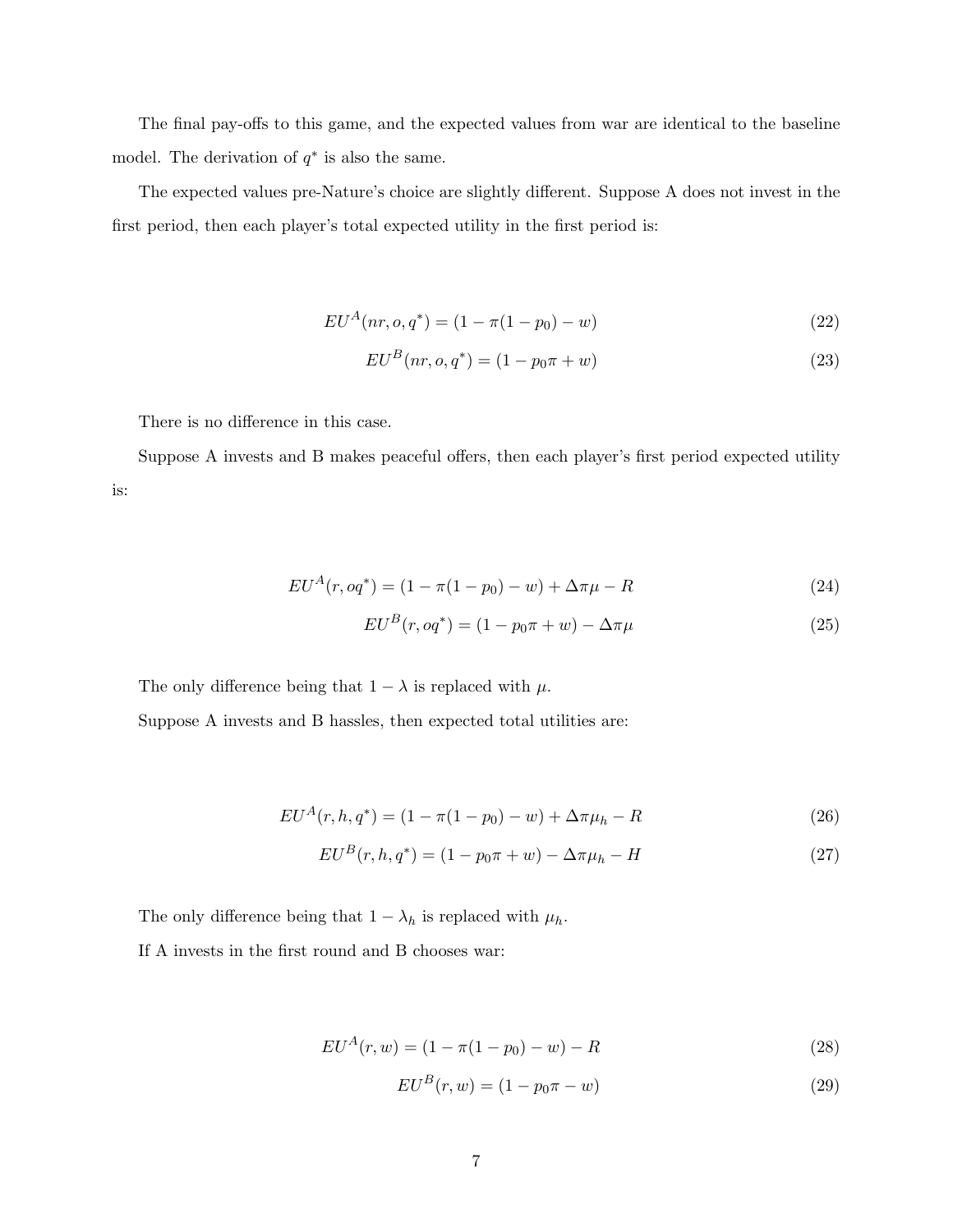The final pay-offs to this game, and the expected values from war are identical to the baseline model. The derivation of  $q^*$  is also the same.

The expected values pre-Nature's choice are slightly different. Suppose A does not invest in the first period, then each player's total expected utility in the first period is:

$$
EU^A(nr, o, q^*) = (1 - \pi(1 - p_0) - w)
$$
\n(22)

$$
EU^B(nr, o, q^*) = (1 - p_0\pi + w)
$$
\n(23)

There is no difference in this case.

Suppose A invests and B makes peaceful offers, then each player's first period expected utility is:

$$
EU^A(r, oq^*) = (1 - \pi(1 - p_0) - w) + \Delta \pi \mu - R \tag{24}
$$

$$
EU^B(r, oq^*) = (1 - p_0 \pi + w) - \Delta \pi \mu \tag{25}
$$

The only difference being that  $1 - \lambda$  is replaced with  $\mu$ .

Suppose A invests and B hassles, then expected total utilities are:

$$
EU^{A}(r, h, q^{*}) = (1 - \pi(1 - p_{0}) - w) + \Delta \pi \mu_{h} - R
$$
\n(26)

$$
EU^B(r, h, q^*) = (1 - p_0 \pi + w) - \Delta \pi \mu_h - H \tag{27}
$$

The only difference being that  $1 - \lambda_h$  is replaced with  $\mu_h$ .

If A invests in the first round and B chooses war:

$$
EU^A(r, w) = (1 - \pi(1 - p_0) - w) - R \tag{28}
$$

$$
EU^B(r, w) = (1 - p_0 \pi - w)
$$
\n(29)